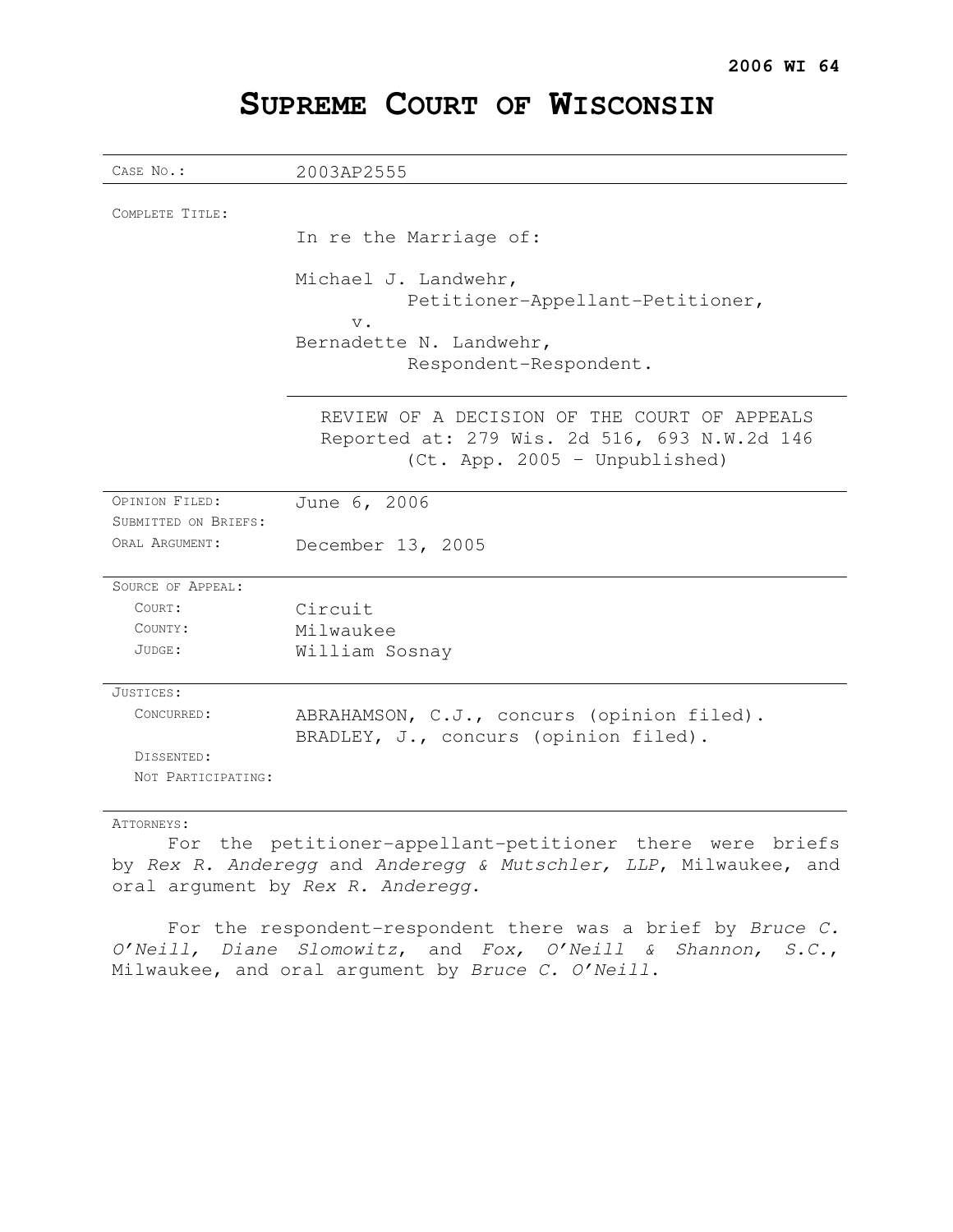# **SUPREME COURT OF WISCONSIN**

| CASE No.:            | 2003AP2555                                                                                                                    |
|----------------------|-------------------------------------------------------------------------------------------------------------------------------|
|                      |                                                                                                                               |
| COMPLETE TITLE:      |                                                                                                                               |
|                      | In re the Marriage of:                                                                                                        |
|                      | Michael J. Landwehr,<br>Petitioner-Appellant-Petitioner,<br>$V$ .<br>Bernadette N. Landwehr,<br>Respondent-Respondent.        |
|                      | REVIEW OF A DECISION OF THE COURT OF APPEALS<br>Reported at: 279 Wis. 2d 516, 693 N.W.2d 146<br>(Ct. App. 2005 - Unpublished) |
| OPINION FILED:       | June 6, 2006                                                                                                                  |
| SUBMITTED ON BRIEFS: |                                                                                                                               |
| ORAL ARGUMENT:       | December 13, 2005                                                                                                             |
| SOURCE OF APPEAL:    |                                                                                                                               |
| COURT:               | Circuit                                                                                                                       |
| COUNTY:              | Milwaukee                                                                                                                     |
| JUDGE:               | William Sosnay                                                                                                                |
| JUSTICES:            |                                                                                                                               |
| CONCURRED:           | ABRAHAMSON, C.J., concurs (opinion filed).<br>BRADLEY, J., concurs (opinion filed).                                           |
| DISSENTED:           |                                                                                                                               |
| NOT PARTICIPATING:   |                                                                                                                               |

## ATTORNEYS:

For the petitioner-appellant-petitioner there were briefs by Rex R. Anderegg and Anderegg & Mutschler, LLP, Milwaukee, and oral argument by Rex R. Anderegg.

For the respondent-respondent there was a brief by Bruce C. O'Neill, Diane Slomowitz, and Fox, O'Neill & Shannon, S.C., Milwaukee, and oral argument by Bruce C. O'Neill.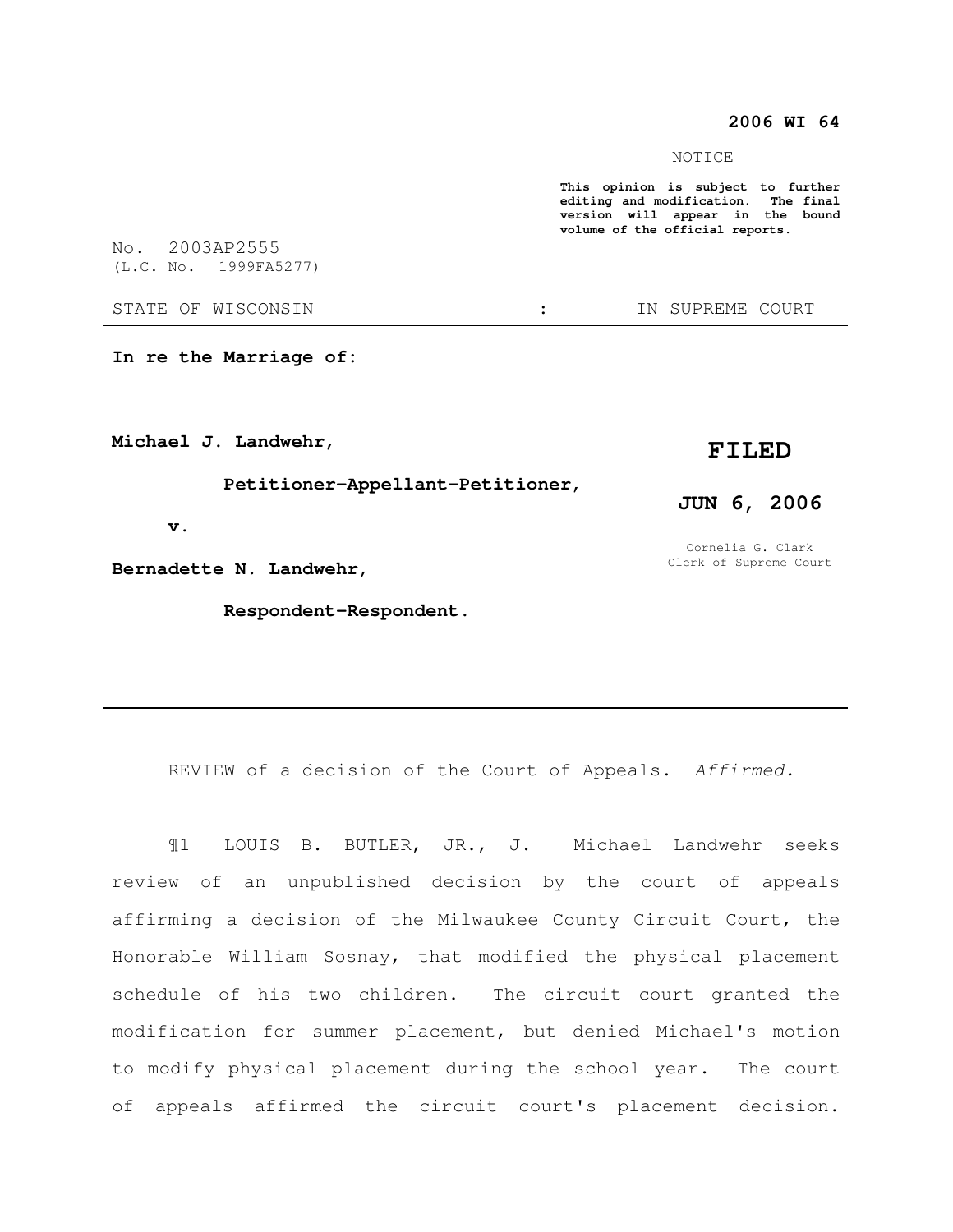# **2006 WI 64**

NOTICE

**This opinion is subject to further editing and modification. The final version will appear in the bound volume of the official reports.** 

**In re the Marriage of:** 

**Michael J. Landwehr,** 

 **Petitioner-Appellant-Petitioner,** 

 **v.** 

**Bernadette N. Landwehr,** 

 **Respondent-Respondent.** 

**FILED** 

**JUN 6, 2006** 

Cornelia G. Clark Clerk of Supreme Court

REVIEW of a decision of the Court of Appeals. Affirmed.

¶1 LOUIS B. BUTLER, JR., J. Michael Landwehr seeks review of an unpublished decision by the court of appeals affirming a decision of the Milwaukee County Circuit Court, the Honorable William Sosnay, that modified the physical placement schedule of his two children. The circuit court granted the modification for summer placement, but denied Michael's motion to modify physical placement during the school year. The court of appeals affirmed the circuit court's placement decision.

No. 2003AP2555 (L.C. No. 1999FA5277)

STATE OF WISCONSIN THE STATE OF WISCONSIN THE STATE OF STATE OF STATE OF STATE OF STATE OF STATE OF STATE OF STATE OF STATE OF STATE OF STATE OF STATE OF STATE OF STATE OF STATE OF STATE OF STATE OF STATE OF STATE OF STATE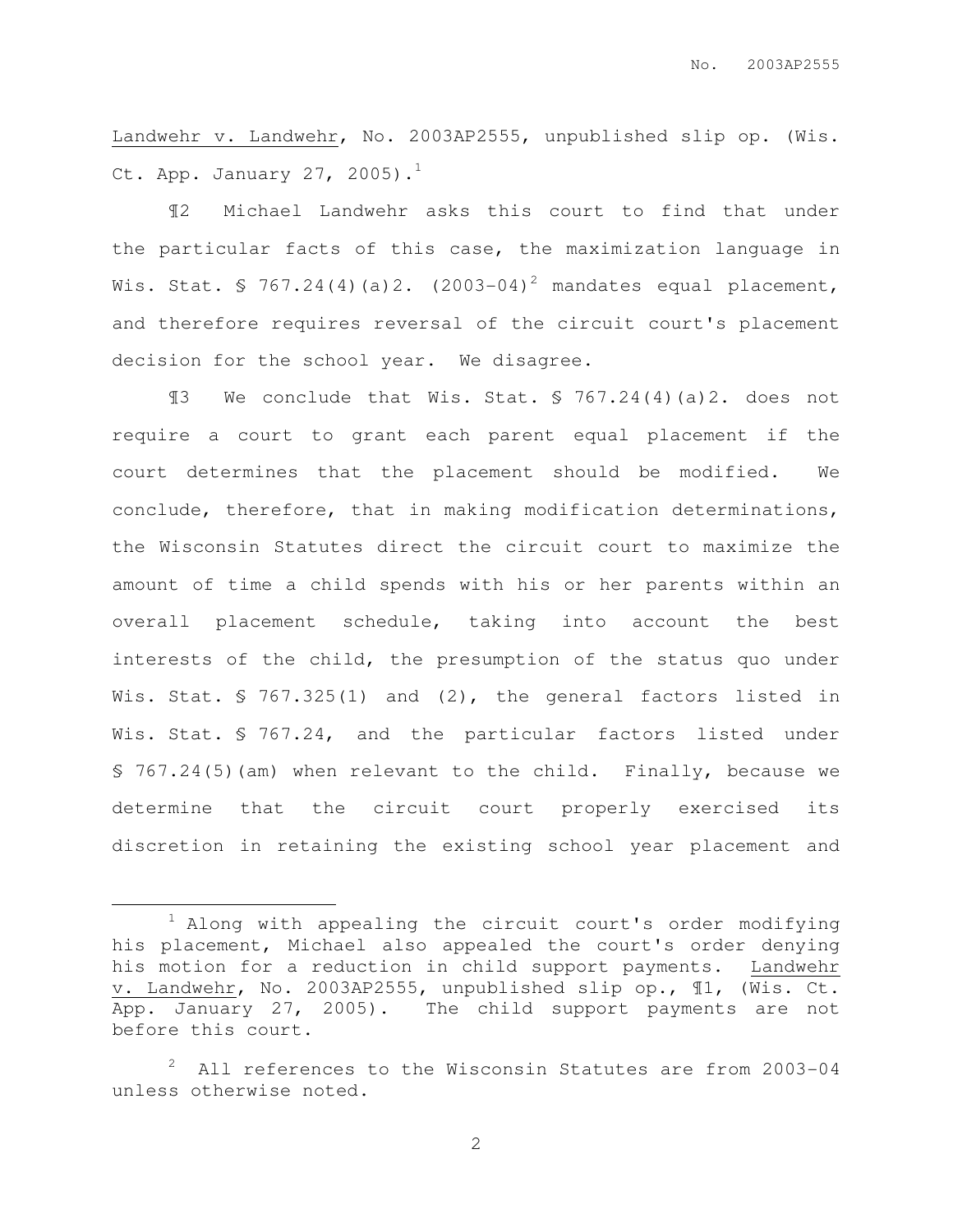Landwehr v. Landwehr, No. 2003AP2555, unpublished slip op. (Wis. Ct. App. January 27, 2005). $<sup>1</sup>$ </sup>

¶2 Michael Landwehr asks this court to find that under the particular facts of this case, the maximization language in Wis. Stat. § 767.24(4)(a)2. (2003-04)<sup>2</sup> mandates equal placement, and therefore requires reversal of the circuit court's placement decision for the school year. We disagree.

¶3 We conclude that Wis. Stat. § 767.24(4)(a)2. does not require a court to grant each parent equal placement if the court determines that the placement should be modified. We conclude, therefore, that in making modification determinations, the Wisconsin Statutes direct the circuit court to maximize the amount of time a child spends with his or her parents within an overall placement schedule, taking into account the best interests of the child, the presumption of the status quo under Wis. Stat. § 767.325(1) and (2), the general factors listed in Wis. Stat. § 767.24, and the particular factors listed under § 767.24(5)(am) when relevant to the child. Finally, because we determine that the circuit court properly exercised its discretion in retaining the existing school year placement and

 $\overline{a}$ 

 $1$  Along with appealing the circuit court's order modifying his placement, Michael also appealed the court's order denying his motion for a reduction in child support payments. Landwehr v. Landwehr, No. 2003AP2555, unpublished slip op., ¶1, (Wis. Ct. App. January 27, 2005). The child support payments are not before this court.

All references to the Wisconsin Statutes are from 2003-04 unless otherwise noted.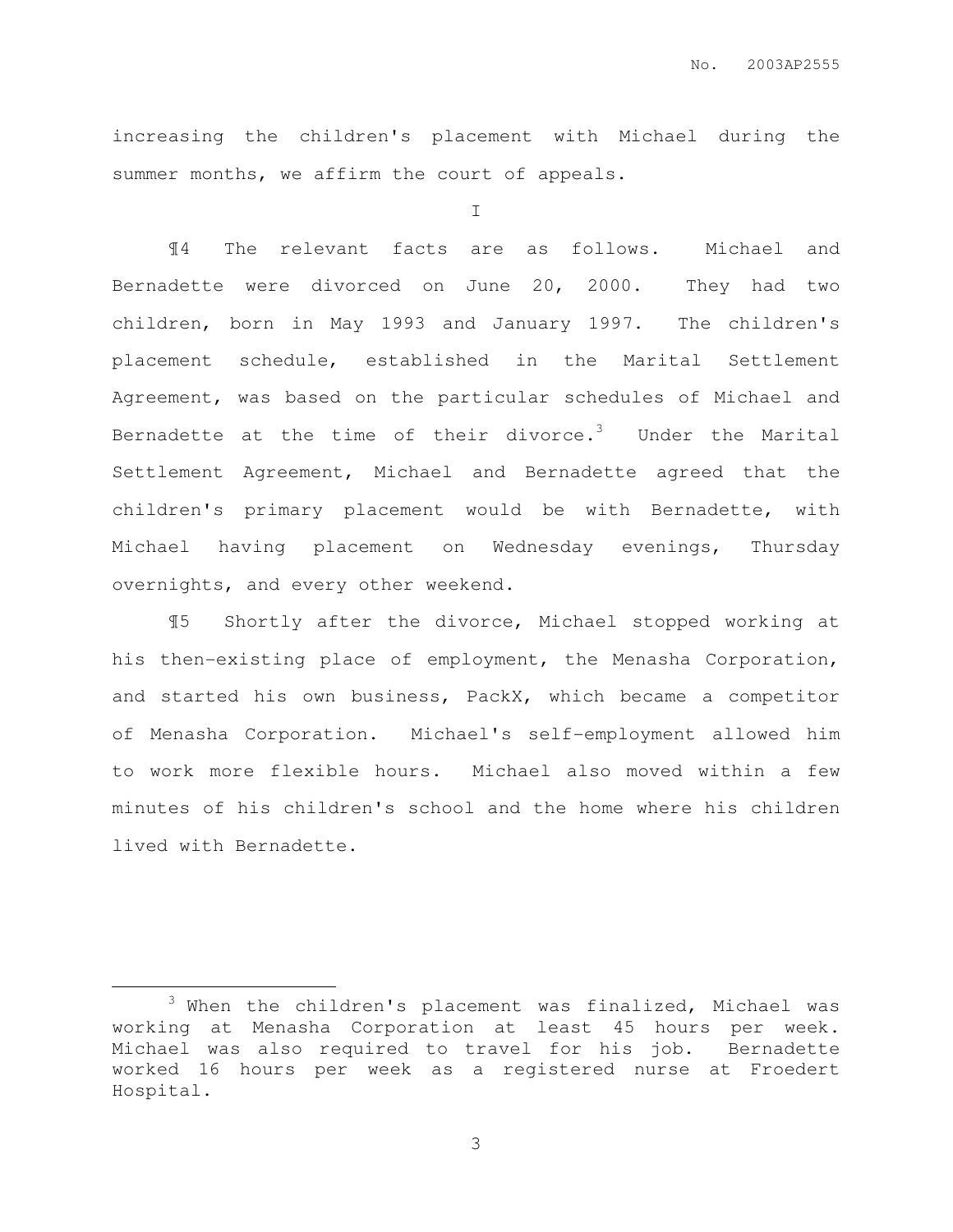increasing the children's placement with Michael during the summer months, we affirm the court of appeals.

I

¶4 The relevant facts are as follows. Michael and Bernadette were divorced on June 20, 2000. They had two children, born in May 1993 and January 1997. The children's placement schedule, established in the Marital Settlement Agreement, was based on the particular schedules of Michael and Bernadette at the time of their divorce.<sup>3</sup> Under the Marital Settlement Agreement, Michael and Bernadette agreed that the children's primary placement would be with Bernadette, with Michael having placement on Wednesday evenings, Thursday overnights, and every other weekend.

¶5 Shortly after the divorce, Michael stopped working at his then-existing place of employment, the Menasha Corporation, and started his own business, PackX, which became a competitor of Menasha Corporation. Michael's self-employment allowed him to work more flexible hours. Michael also moved within a few minutes of his children's school and the home where his children lived with Bernadette.

 $\overline{a}$ 

 $3$  When the children's placement was finalized, Michael was working at Menasha Corporation at least 45 hours per week. Michael was also required to travel for his job. Bernadette worked 16 hours per week as a registered nurse at Froedert Hospital.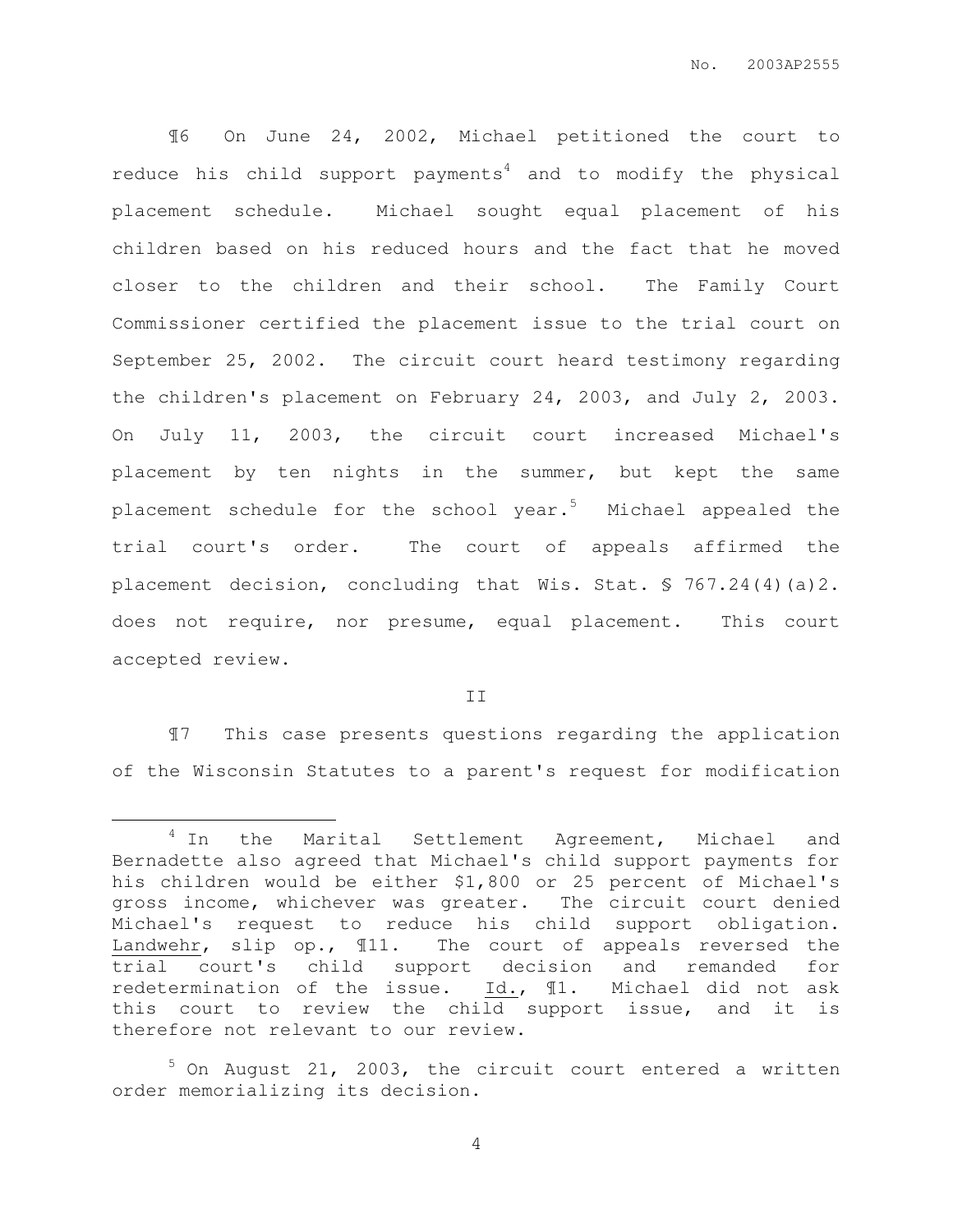¶6 On June 24, 2002, Michael petitioned the court to reduce his child support payments<sup>4</sup> and to modify the physical placement schedule. Michael sought equal placement of his children based on his reduced hours and the fact that he moved closer to the children and their school. The Family Court Commissioner certified the placement issue to the trial court on September 25, 2002. The circuit court heard testimony regarding the children's placement on February 24, 2003, and July 2, 2003. On July 11, 2003, the circuit court increased Michael's placement by ten nights in the summer, but kept the same placement schedule for the school year.<sup>5</sup> Michael appealed the trial court's order. The court of appeals affirmed the placement decision, concluding that Wis. Stat. § 767.24(4)(a)2. does not require, nor presume, equal placement. This court accepted review.

II

¶7 This case presents questions regarding the application of the Wisconsin Statutes to a parent's request for modification

 $\overline{a}$ 

<sup>&</sup>lt;sup>4</sup> In the Marital Settlement Agreement, Michael and Bernadette also agreed that Michael's child support payments for his children would be either \$1,800 or 25 percent of Michael's gross income, whichever was greater. The circuit court denied Michael's request to reduce his child support obligation. Landwehr, slip op., ¶11. The court of appeals reversed the trial court's child support decision and remanded for redetermination of the issue. Id., ¶1. Michael did not ask this court to review the child support issue, and it is therefore not relevant to our review.

 $5$  On August 21, 2003, the circuit court entered a written order memorializing its decision.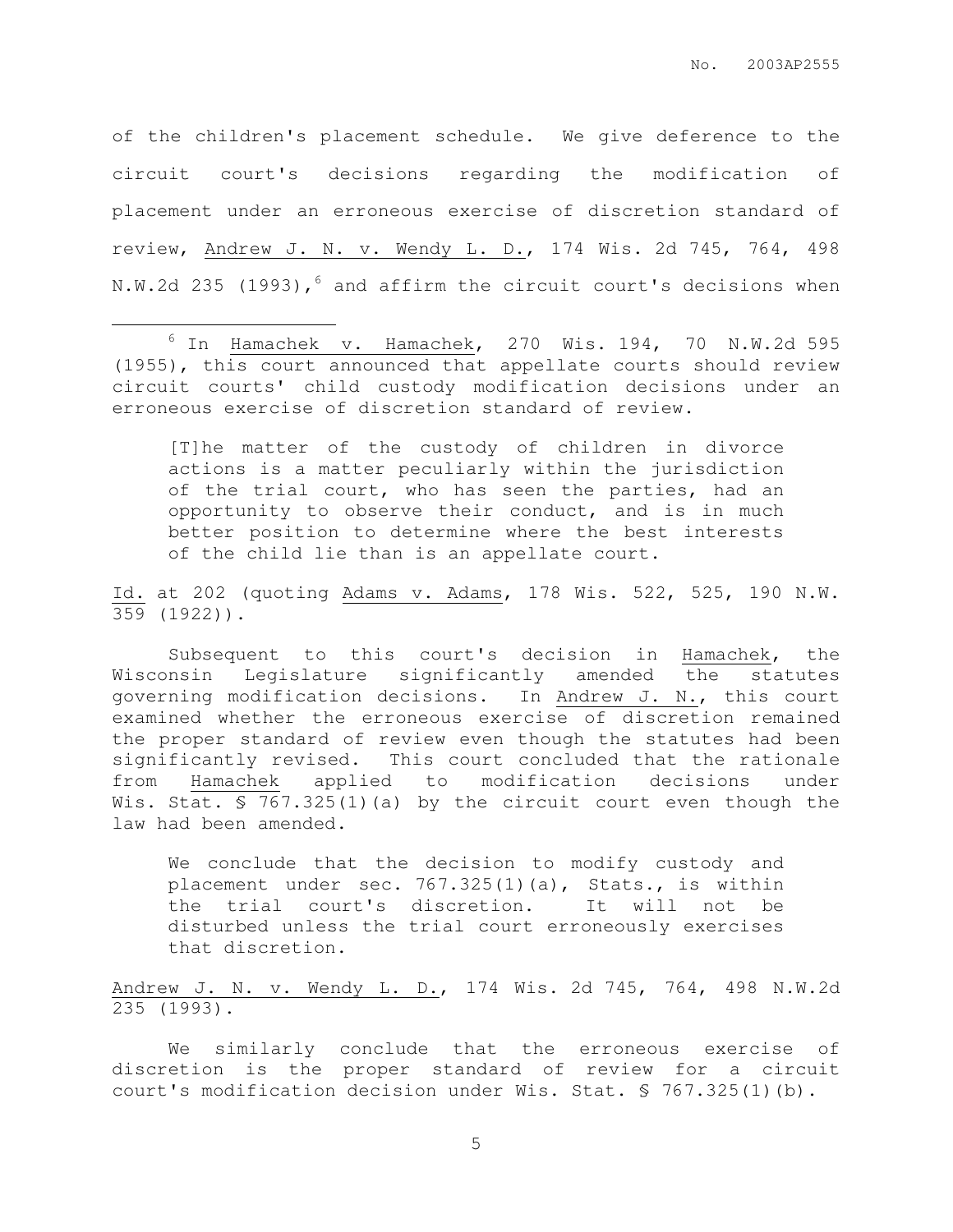of the children's placement schedule. We give deference to the circuit court's decisions regarding the modification of placement under an erroneous exercise of discretion standard of review, Andrew J. N. v. Wendy L. D., 174 Wis. 2d 745, 764, 498 N.W.2d 235 (1993),  $6$  and affirm the circuit court's decisions when

 $6$  In Hamachek v. Hamachek, 270 Wis. 194, 70 N.W.2d 595 (1955), this court announced that appellate courts should review circuit courts' child custody modification decisions under an erroneous exercise of discretion standard of review.

 $\overline{a}$ 

[T]he matter of the custody of children in divorce actions is a matter peculiarly within the jurisdiction of the trial court, who has seen the parties, had an opportunity to observe their conduct, and is in much better position to determine where the best interests of the child lie than is an appellate court.

Id. at 202 (quoting Adams v. Adams, 178 Wis. 522, 525, 190 N.W. 359 (1922)).

Subsequent to this court's decision in Hamachek, the Wisconsin Legislature significantly amended the statutes governing modification decisions. In Andrew J. N., this court examined whether the erroneous exercise of discretion remained the proper standard of review even though the statutes had been significantly revised. This court concluded that the rationale from Hamachek applied to modification decisions under Wis. Stat.  $$767.325(1)(a)$  by the circuit court even though the law had been amended.

We conclude that the decision to modify custody and placement under sec. 767.325(1)(a), Stats., is within the trial court's discretion. It will not be disturbed unless the trial court erroneously exercises that discretion.

Andrew J. N. v. Wendy L. D., 174 Wis. 2d 745, 764, 498 N.W.2d 235 (1993).

We similarly conclude that the erroneous exercise of discretion is the proper standard of review for a circuit court's modification decision under Wis. Stat. § 767.325(1)(b).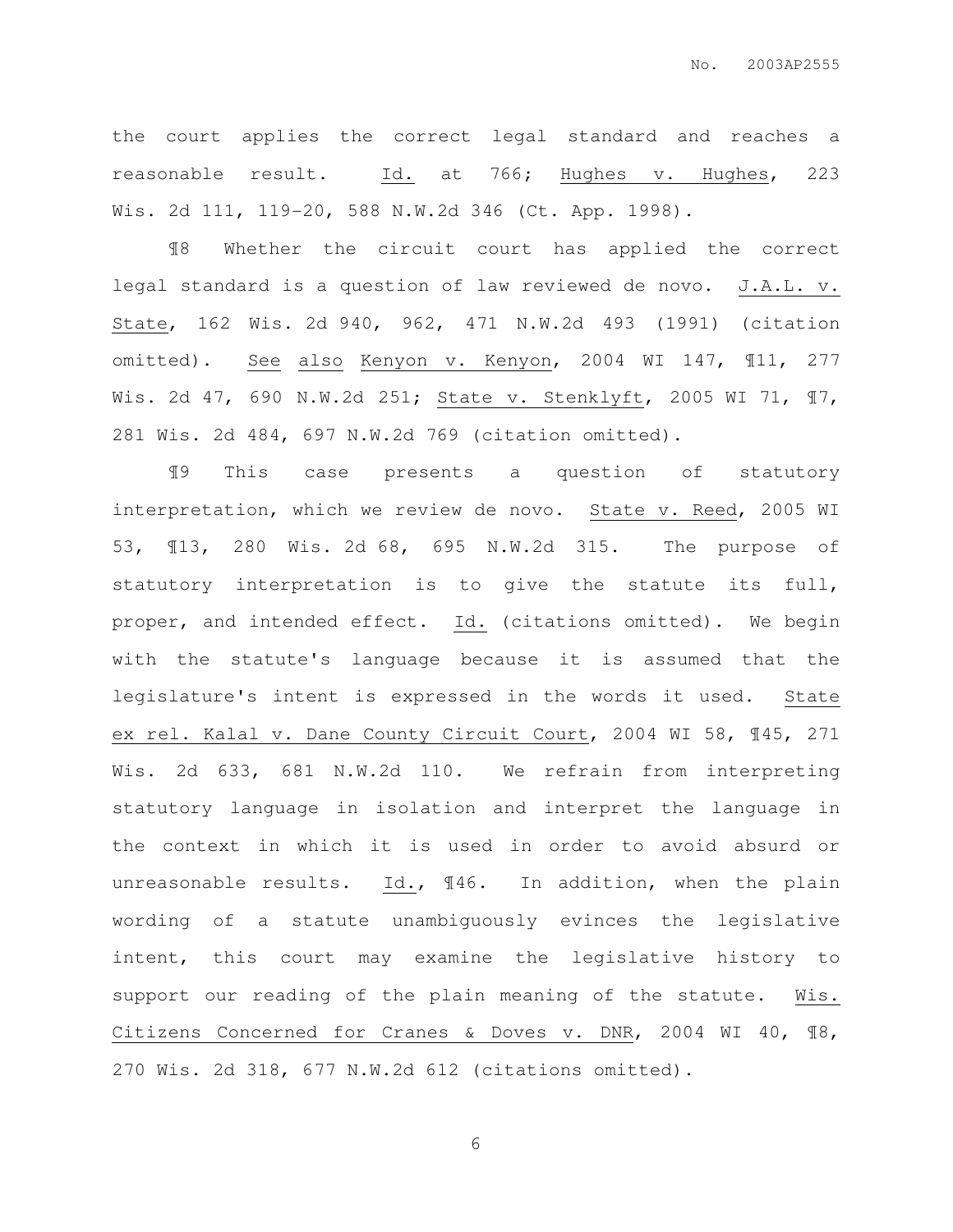the court applies the correct legal standard and reaches a reasonable result. Id. at 766; Hughes v. Hughes, 223 Wis. 2d 111, 119-20, 588 N.W.2d 346 (Ct. App. 1998).

¶8 Whether the circuit court has applied the correct legal standard is a question of law reviewed de novo. J.A.L. v. State, 162 Wis. 2d 940, 962, 471 N.W.2d 493 (1991) (citation omitted). See also Kenyon v. Kenyon, 2004 WI 147, ¶11, 277 Wis. 2d 47, 690 N.W.2d 251; State v. Stenklyft, 2005 WI 71, ¶7, 281 Wis. 2d 484, 697 N.W.2d 769 (citation omitted).

¶9 This case presents a question of statutory interpretation, which we review de novo. State v. Reed, 2005 WI 53, ¶13, 280 Wis. 2d 68, 695 N.W.2d 315. The purpose of statutory interpretation is to give the statute its full, proper, and intended effect. Id. (citations omitted). We begin with the statute's language because it is assumed that the legislature's intent is expressed in the words it used. State ex rel. Kalal v. Dane County Circuit Court, 2004 WI 58, ¶45, 271 Wis. 2d 633, 681 N.W.2d 110. We refrain from interpreting statutory language in isolation and interpret the language in the context in which it is used in order to avoid absurd or unreasonable results. Id., ¶46. In addition, when the plain wording of a statute unambiguously evinces the legislative intent, this court may examine the legislative history to support our reading of the plain meaning of the statute. Wis. Citizens Concerned for Cranes & Doves v. DNR, 2004 WI 40, ¶8, 270 Wis. 2d 318, 677 N.W.2d 612 (citations omitted).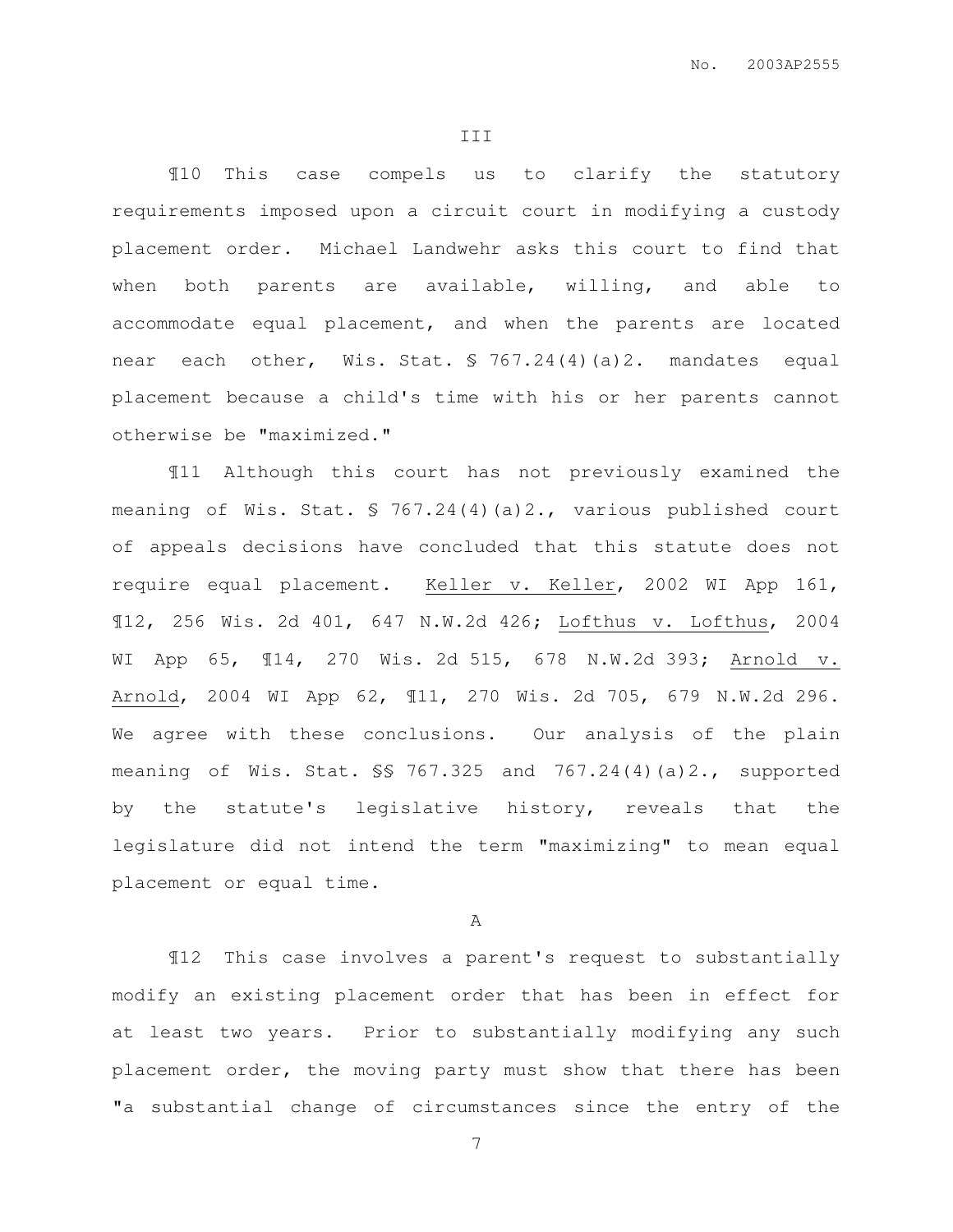¶10 This case compels us to clarify the statutory requirements imposed upon a circuit court in modifying a custody placement order. Michael Landwehr asks this court to find that when both parents are available, willing, and able to accommodate equal placement, and when the parents are located near each other, Wis. Stat. § 767.24(4)(a)2. mandates equal placement because a child's time with his or her parents cannot otherwise be "maximized."

¶11 Although this court has not previously examined the meaning of Wis. Stat. § 767.24(4)(a)2., various published court of appeals decisions have concluded that this statute does not require equal placement. Keller v. Keller, 2002 WI App 161, ¶12, 256 Wis. 2d 401, 647 N.W.2d 426; Lofthus v. Lofthus, 2004 WI App 65, ¶14, 270 Wis. 2d 515, 678 N.W.2d 393; Arnold v. Arnold, 2004 WI App 62, ¶11, 270 Wis. 2d 705, 679 N.W.2d 296. We agree with these conclusions. Our analysis of the plain meaning of Wis. Stat. §§ 767.325 and 767.24(4)(a)2., supported by the statute's legislative history, reveals that the legislature did not intend the term "maximizing" to mean equal placement or equal time.

A

¶12 This case involves a parent's request to substantially modify an existing placement order that has been in effect for at least two years. Prior to substantially modifying any such placement order, the moving party must show that there has been "a substantial change of circumstances since the entry of the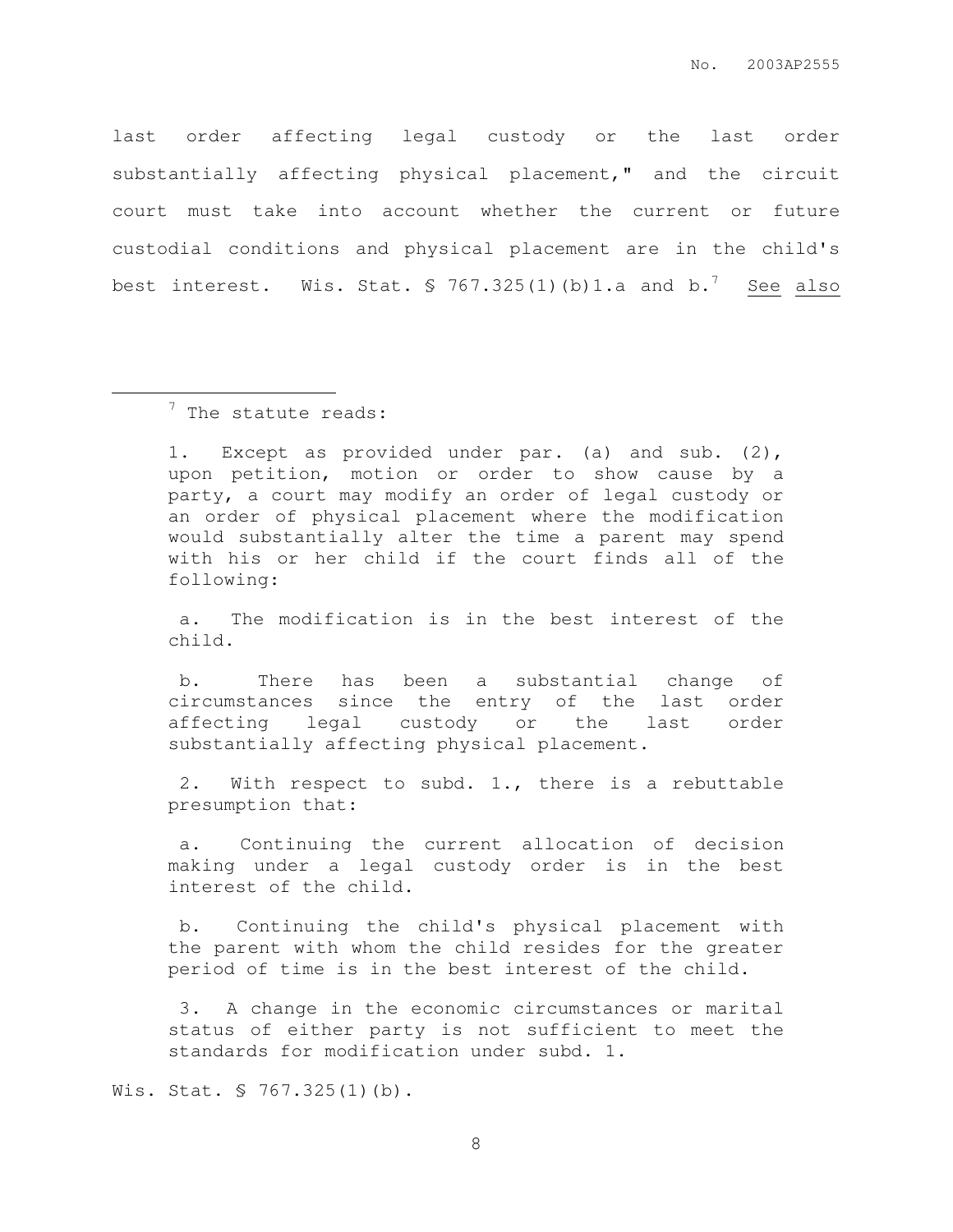last order affecting legal custody or the last order substantially affecting physical placement," and the circuit court must take into account whether the current or future custodial conditions and physical placement are in the child's best interest. Wis. Stat.  $\sqrt{5}$  767.325(1)(b)1.a and b.<sup>7</sup> See also

 $\overline{a}$ 

1. Except as provided under par. (a) and sub. (2), upon petition, motion or order to show cause by a party, a court may modify an order of legal custody or an order of physical placement where the modification would substantially alter the time a parent may spend with his or her child if the court finds all of the following:

 a. The modification is in the best interest of the child.

 b. There has been a substantial change of circumstances since the entry of the last order affecting legal custody or the last order substantially affecting physical placement.

 2. With respect to subd. 1., there is a rebuttable presumption that:

 a. Continuing the current allocation of decision making under a legal custody order is in the best interest of the child.

 b. Continuing the child's physical placement with the parent with whom the child resides for the greater period of time is in the best interest of the child.

 3. A change in the economic circumstances or marital status of either party is not sufficient to meet the standards for modification under subd. 1.

Wis. Stat. § 767.325(1)(b).

<sup>&</sup>lt;sup>7</sup> The statute reads: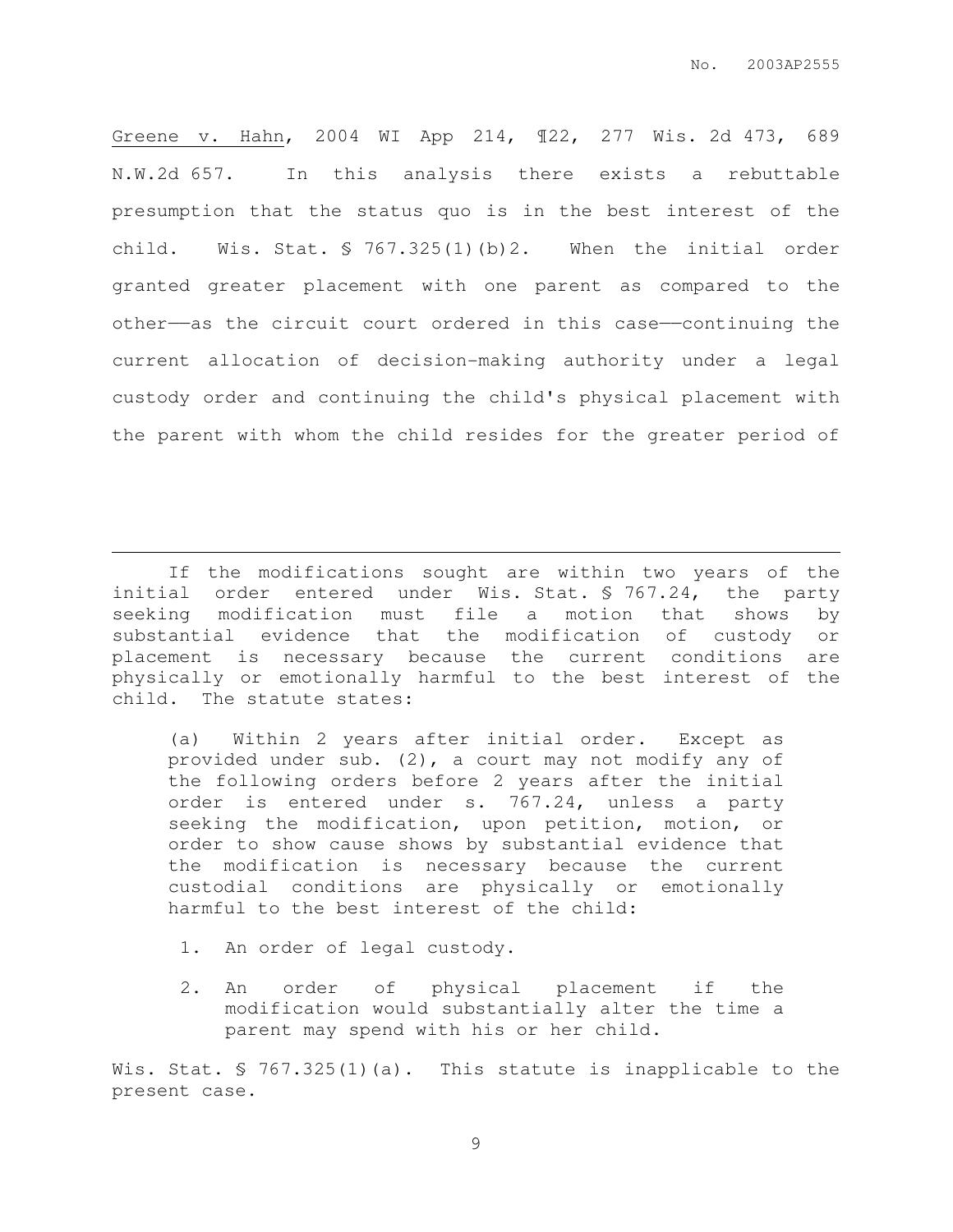Greene v. Hahn, 2004 WI App 214, ¶22, 277 Wis. 2d 473, 689 N.W.2d 657. In this analysis there exists a rebuttable presumption that the status quo is in the best interest of the child. Wis. Stat. § 767.325(1)(b)2. When the initial order granted greater placement with one parent as compared to the other——as the circuit court ordered in this case——continuing the current allocation of decision-making authority under a legal custody order and continuing the child's physical placement with the parent with whom the child resides for the greater period of

If the modifications sought are within two years of the initial order entered under Wis. Stat. § 767.24, the party seeking modification must file a motion that shows by substantial evidence that the modification of custody or placement is necessary because the current conditions are physically or emotionally harmful to the best interest of the child. The statute states:

(a) Within 2 years after initial order. Except as provided under sub. (2), a court may not modify any of the following orders before 2 years after the initial order is entered under s. 767.24, unless a party seeking the modification, upon petition, motion, or order to show cause shows by substantial evidence that the modification is necessary because the current custodial conditions are physically or emotionally harmful to the best interest of the child:

1. An order of legal custody.

 $\overline{a}$ 

2. An order of physical placement if the modification would substantially alter the time a parent may spend with his or her child.

Wis. Stat. § 767.325(1)(a). This statute is inapplicable to the present case.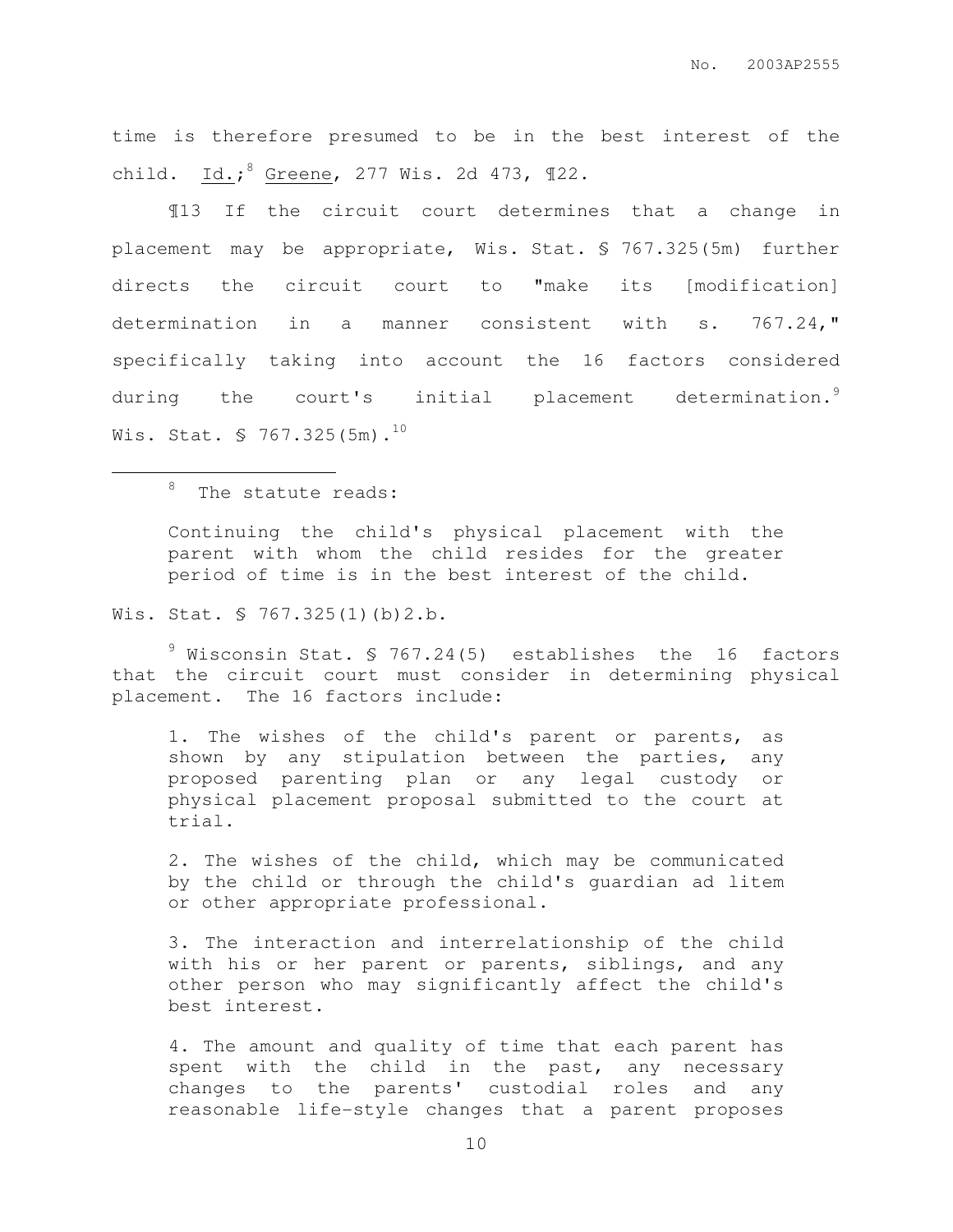time is therefore presumed to be in the best interest of the child. Id.; <sup>8</sup> Greene, 277 Wis. 2d 473, ¶22.

¶13 If the circuit court determines that a change in placement may be appropriate, Wis. Stat. § 767.325(5m) further directs the circuit court to "make its [modification] determination in a manner consistent with s. 767.24," specifically taking into account the 16 factors considered during the court's initial placement determination.<sup>9</sup> Wis. Stat.  $\frac{5}{767.325(5m)}$ .<sup>10</sup>

# <sup>8</sup> The statute reads:

 $\overline{a}$ 

Continuing the child's physical placement with the parent with whom the child resides for the greater period of time is in the best interest of the child.

Wis. Stat. § 767.325(1)(b)2.b.

 $9$  Wisconsin Stat. § 767.24(5) establishes the 16 factors that the circuit court must consider in determining physical placement. The 16 factors include:

1. The wishes of the child's parent or parents, as shown by any stipulation between the parties, any proposed parenting plan or any legal custody or physical placement proposal submitted to the court at trial.

2. The wishes of the child, which may be communicated by the child or through the child's guardian ad litem or other appropriate professional.

3. The interaction and interrelationship of the child with his or her parent or parents, siblings, and any other person who may significantly affect the child's best interest.

4. The amount and quality of time that each parent has spent with the child in the past, any necessary changes to the parents' custodial roles and any reasonable life−style changes that a parent proposes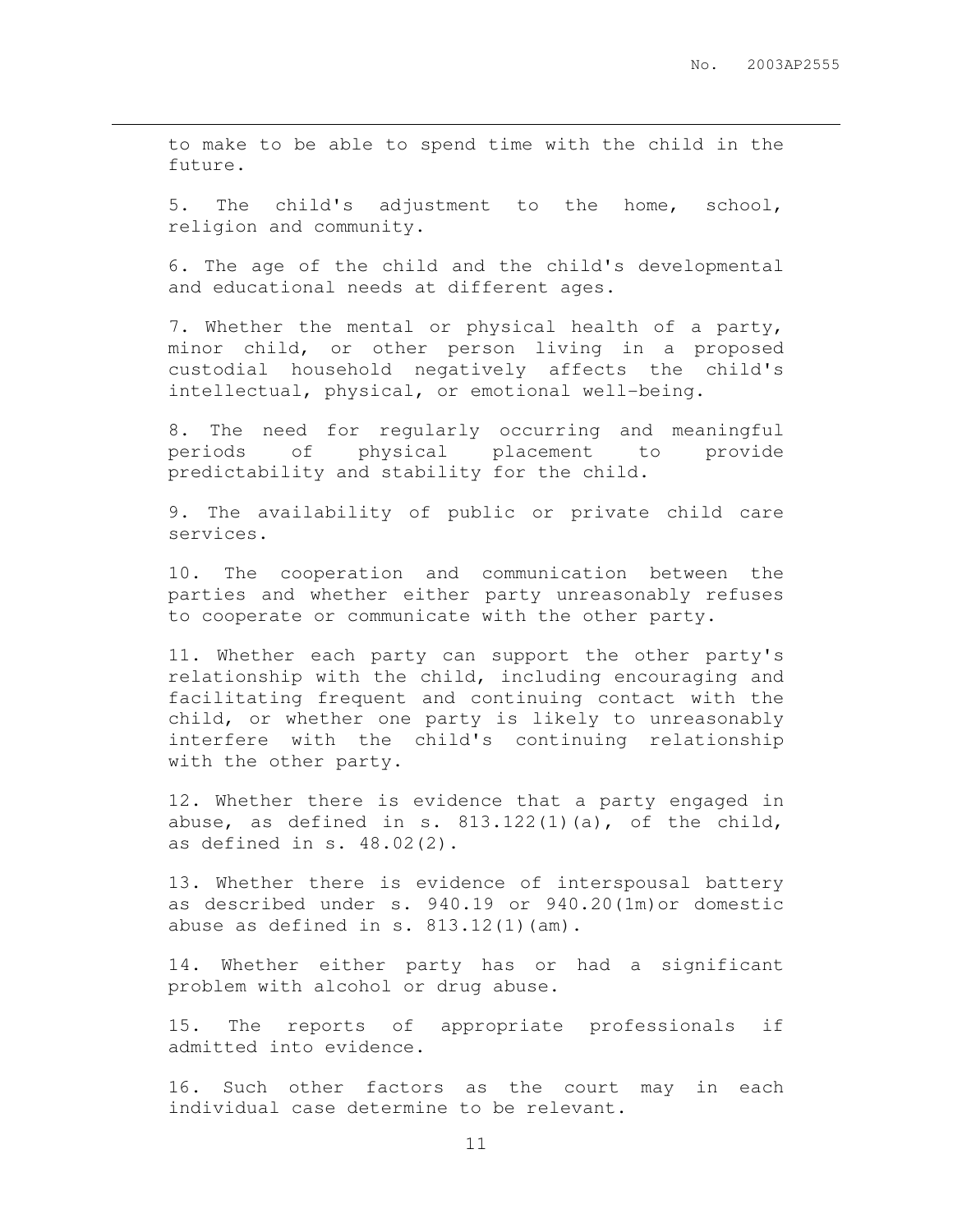to make to be able to spend time with the child in the future.

 $\overline{a}$ 

5. The child's adjustment to the home, school, religion and community.

6. The age of the child and the child's developmental and educational needs at different ages.

7. Whether the mental or physical health of a party, minor child, or other person living in a proposed custodial household negatively affects the child's intellectual, physical, or emotional well−being.

8. The need for regularly occurring and meaningful periods of physical placement to provide predictability and stability for the child.

9. The availability of public or private child care services.

10. The cooperation and communication between the parties and whether either party unreasonably refuses to cooperate or communicate with the other party.

11. Whether each party can support the other party's relationship with the child, including encouraging and facilitating frequent and continuing contact with the child, or whether one party is likely to unreasonably interfere with the child's continuing relationship with the other party.

12. Whether there is evidence that a party engaged in abuse, as defined in s.  $813.122(1)(a)$ , of the child, as defined in s. 48.02(2).

13. Whether there is evidence of interspousal battery as described under s. 940.19 or 940.20(1m)or domestic abuse as defined in  $s. 813.12(1)(am)$ .

14. Whether either party has or had a significant problem with alcohol or drug abuse.

15. The reports of appropriate professionals if admitted into evidence.

16. Such other factors as the court may in each individual case determine to be relevant.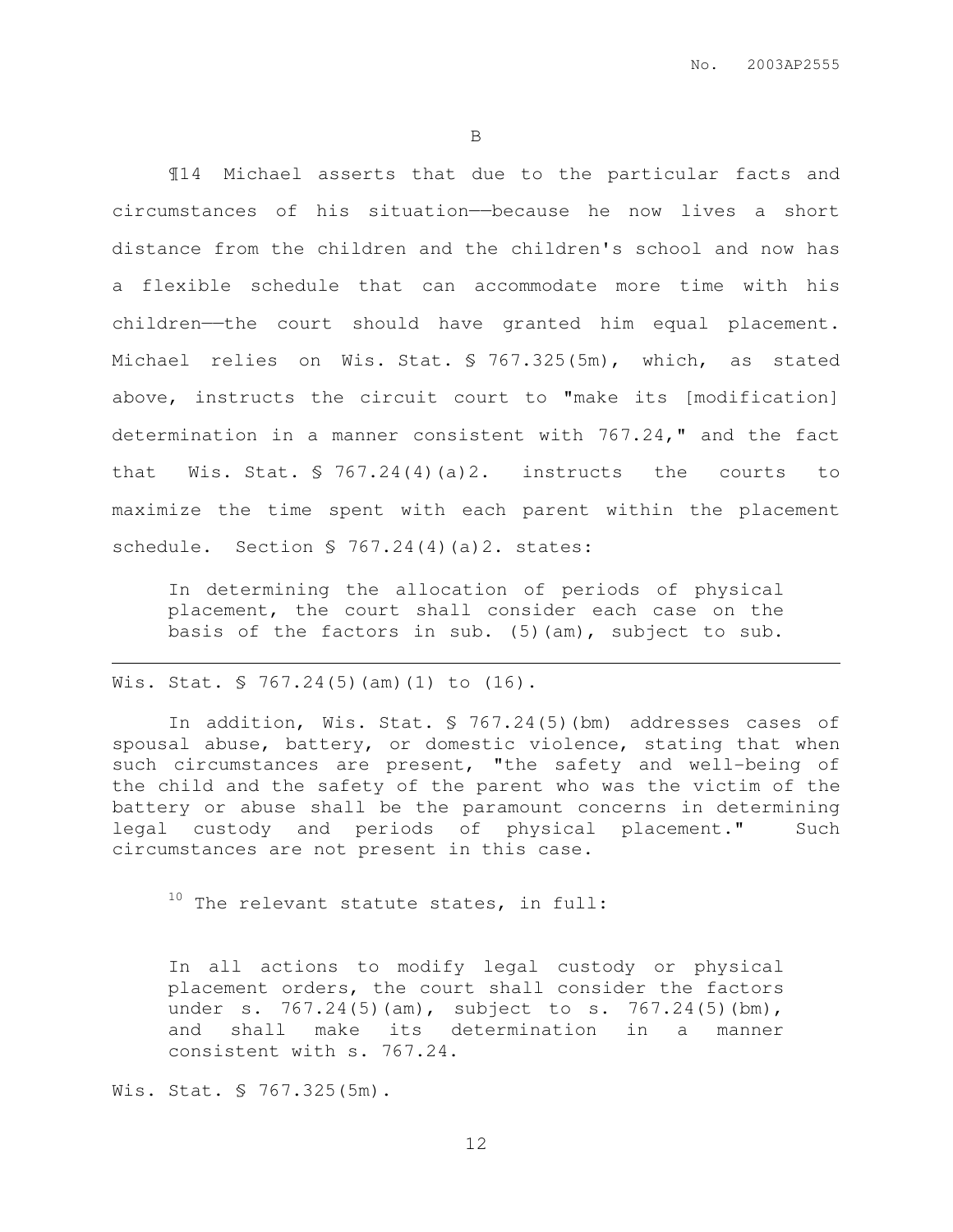¶14 Michael asserts that due to the particular facts and circumstances of his situation——because he now lives a short distance from the children and the children's school and now has a flexible schedule that can accommodate more time with his children——the court should have granted him equal placement. Michael relies on Wis. Stat. § 767.325(5m), which, as stated above, instructs the circuit court to "make its [modification] determination in a manner consistent with 767.24," and the fact that Wis. Stat. § 767.24(4)(a)2. instructs the courts to maximize the time spent with each parent within the placement schedule. Section § 767.24(4)(a)2. states:

In determining the allocation of periods of physical placement, the court shall consider each case on the basis of the factors in sub. (5)(am), subject to sub.

### Wis. Stat. § 767.24(5)(am)(1) to (16).

 $\overline{a}$ 

In addition, Wis. Stat. § 767.24(5)(bm) addresses cases of spousal abuse, battery, or domestic violence, stating that when such circumstances are present, "the safety and well−being of the child and the safety of the parent who was the victim of the battery or abuse shall be the paramount concerns in determining legal custody and periods of physical placement." Such circumstances are not present in this case.

 $10$  The relevant statute states, in full:

In all actions to modify legal custody or physical placement orders, the court shall consider the factors under s. 767.24(5)(am), subject to s. 767.24(5)(bm), and shall make its determination in a manner consistent with s. 767.24.

Wis. Stat. § 767.325(5m).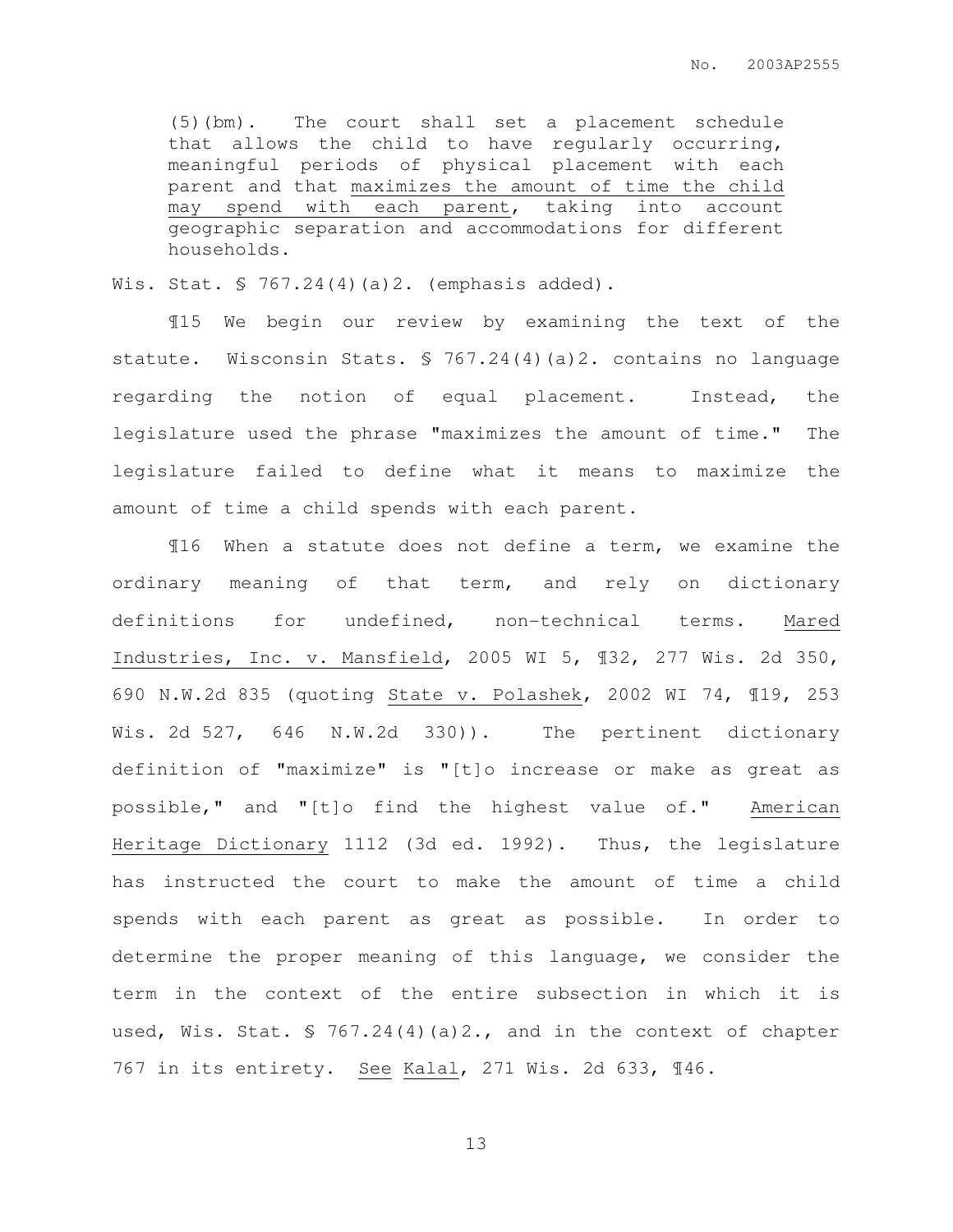(5)(bm). The court shall set a placement schedule that allows the child to have regularly occurring, meaningful periods of physical placement with each parent and that maximizes the amount of time the child may spend with each parent, taking into account geographic separation and accommodations for different households.

Wis. Stat. § 767.24(4)(a)2. (emphasis added).

¶15 We begin our review by examining the text of the statute. Wisconsin Stats. § 767.24(4)(a)2. contains no language regarding the notion of equal placement. Instead, the legislature used the phrase "maximizes the amount of time." The legislature failed to define what it means to maximize the amount of time a child spends with each parent.

¶16 When a statute does not define a term, we examine the ordinary meaning of that term, and rely on dictionary definitions for undefined, non-technical terms. Mared Industries, Inc. v. Mansfield, 2005 WI 5, ¶32, 277 Wis. 2d 350, 690 N.W.2d 835 (quoting State v. Polashek, 2002 WI 74, ¶19, 253 Wis. 2d 527, 646 N.W.2d 330)). The pertinent dictionary definition of "maximize" is "[t]o increase or make as great as possible," and "[t]o find the highest value of." American Heritage Dictionary 1112 (3d ed. 1992). Thus, the legislature has instructed the court to make the amount of time a child spends with each parent as great as possible. In order to determine the proper meaning of this language, we consider the term in the context of the entire subsection in which it is used, Wis. Stat. § 767.24(4)(a)2., and in the context of chapter 767 in its entirety. See Kalal, 271 Wis. 2d 633, ¶46.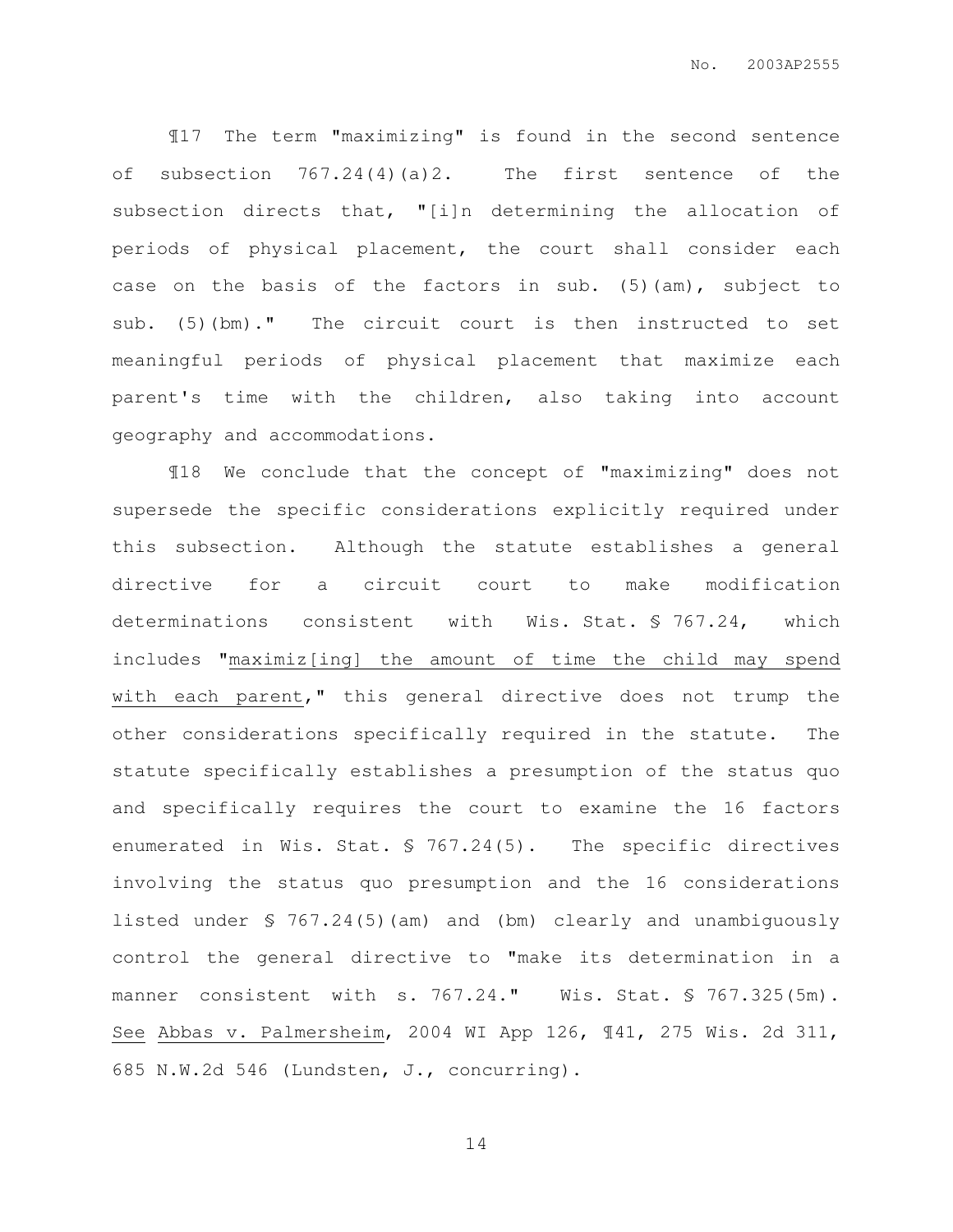¶17 The term "maximizing" is found in the second sentence of subsection  $767.24(4)(a)2$ . The first sentence of the subsection directs that, "[i]n determining the allocation of periods of physical placement, the court shall consider each case on the basis of the factors in sub. (5)(am), subject to sub. (5)(bm)." The circuit court is then instructed to set meaningful periods of physical placement that maximize each parent's time with the children, also taking into account geography and accommodations.

¶18 We conclude that the concept of "maximizing" does not supersede the specific considerations explicitly required under this subsection. Although the statute establishes a general directive for a circuit court to make modification determinations consistent with Wis. Stat. § 767.24, which includes "maximiz[ing] the amount of time the child may spend with each parent," this general directive does not trump the other considerations specifically required in the statute. The statute specifically establishes a presumption of the status quo and specifically requires the court to examine the 16 factors enumerated in Wis. Stat. § 767.24(5). The specific directives involving the status quo presumption and the 16 considerations listed under § 767.24(5)(am) and (bm) clearly and unambiguously control the general directive to "make its determination in a manner consistent with s. 767.24." Wis. Stat. § 767.325(5m). See Abbas v. Palmersheim, 2004 WI App 126, ¶41, 275 Wis. 2d 311, 685 N.W.2d 546 (Lundsten, J., concurring).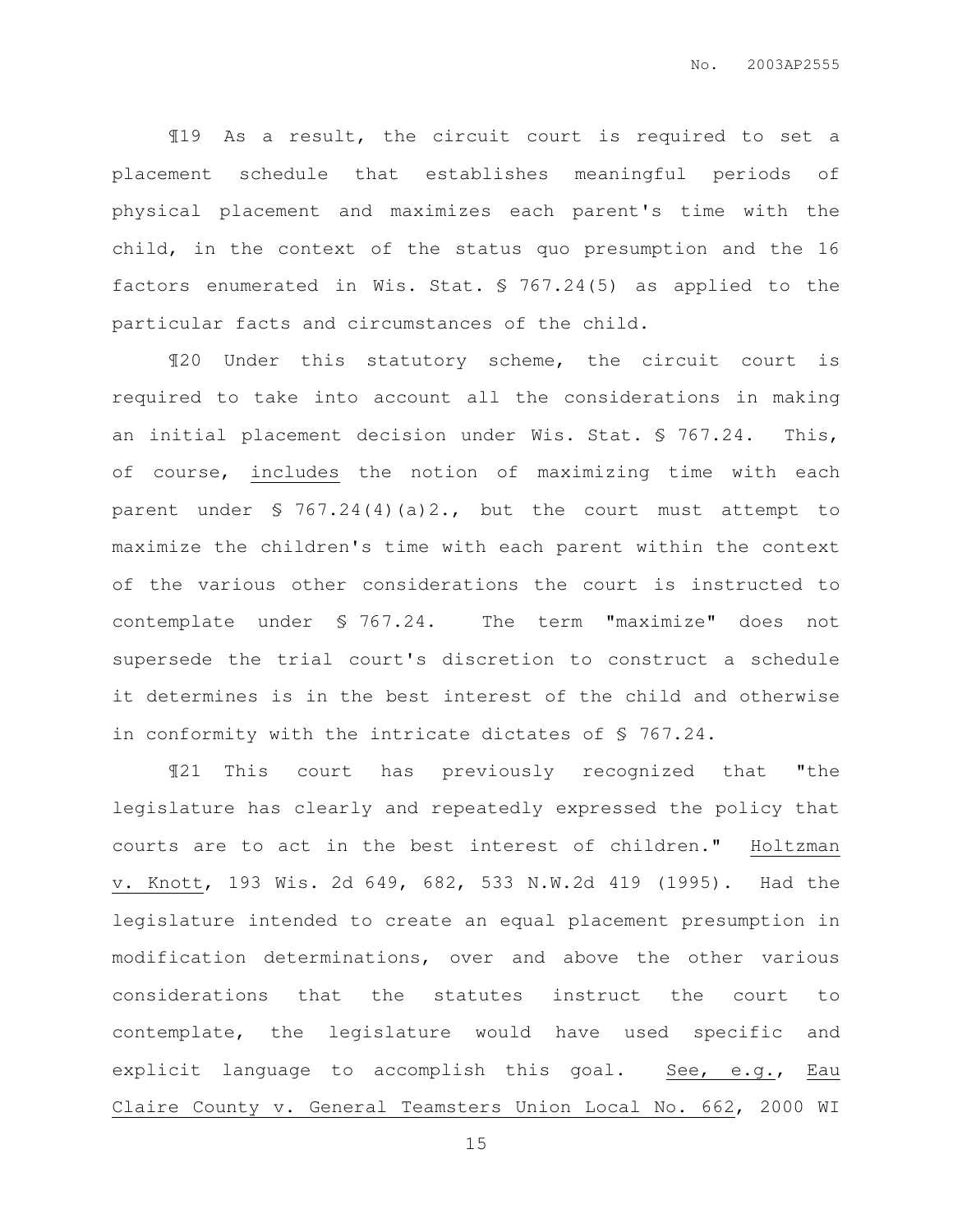¶19 As a result, the circuit court is required to set a placement schedule that establishes meaningful periods of physical placement and maximizes each parent's time with the child, in the context of the status quo presumption and the 16 factors enumerated in Wis. Stat. § 767.24(5) as applied to the particular facts and circumstances of the child.

¶20 Under this statutory scheme, the circuit court is required to take into account all the considerations in making an initial placement decision under Wis. Stat. § 767.24. This, of course, includes the notion of maximizing time with each parent under § 767.24(4)(a)2., but the court must attempt to maximize the children's time with each parent within the context of the various other considerations the court is instructed to contemplate under § 767.24. The term "maximize" does not supersede the trial court's discretion to construct a schedule it determines is in the best interest of the child and otherwise in conformity with the intricate dictates of § 767.24.

¶21 This court has previously recognized that "the legislature has clearly and repeatedly expressed the policy that courts are to act in the best interest of children." Holtzman v. Knott, 193 Wis. 2d 649, 682, 533 N.W.2d 419 (1995). Had the legislature intended to create an equal placement presumption in modification determinations, over and above the other various considerations that the statutes instruct the court to contemplate, the legislature would have used specific and explicit language to accomplish this goal. See, e.g., Eau Claire County v. General Teamsters Union Local No. 662, 2000 WI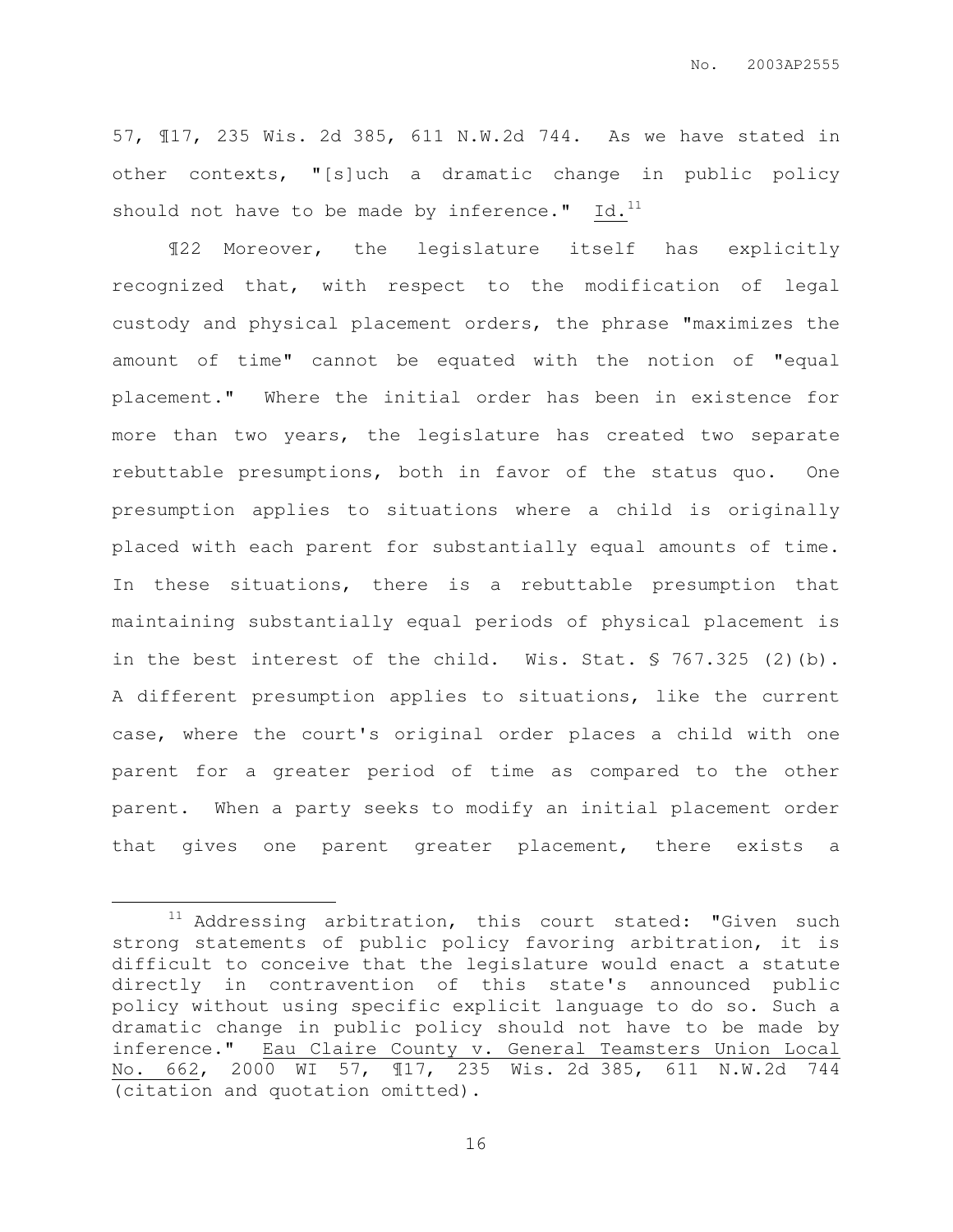57, ¶17, 235 Wis. 2d 385, 611 N.W.2d 744. As we have stated in other contexts, "[s]uch a dramatic change in public policy should not have to be made by inference."  $Id.^{11}$ 

¶22 Moreover, the legislature itself has explicitly recognized that, with respect to the modification of legal custody and physical placement orders, the phrase "maximizes the amount of time" cannot be equated with the notion of "equal placement." Where the initial order has been in existence for more than two years, the legislature has created two separate rebuttable presumptions, both in favor of the status quo. One presumption applies to situations where a child is originally placed with each parent for substantially equal amounts of time. In these situations, there is a rebuttable presumption that maintaining substantially equal periods of physical placement is in the best interest of the child. Wis. Stat. § 767.325 (2)(b). A different presumption applies to situations, like the current case, where the court's original order places a child with one parent for a greater period of time as compared to the other parent. When a party seeks to modify an initial placement order that gives one parent greater placement, there exists a

 $\overline{a}$ 

 $11$  Addressing arbitration, this court stated: "Given such strong statements of public policy favoring arbitration, it is difficult to conceive that the legislature would enact a statute directly in contravention of this state's announced public policy without using specific explicit language to do so. Such a dramatic change in public policy should not have to be made by inference." Eau Claire County v. General Teamsters Union Local No. 662, 2000 WI 57, ¶17, 235 Wis. 2d 385, 611 N.W.2d 744 (citation and quotation omitted).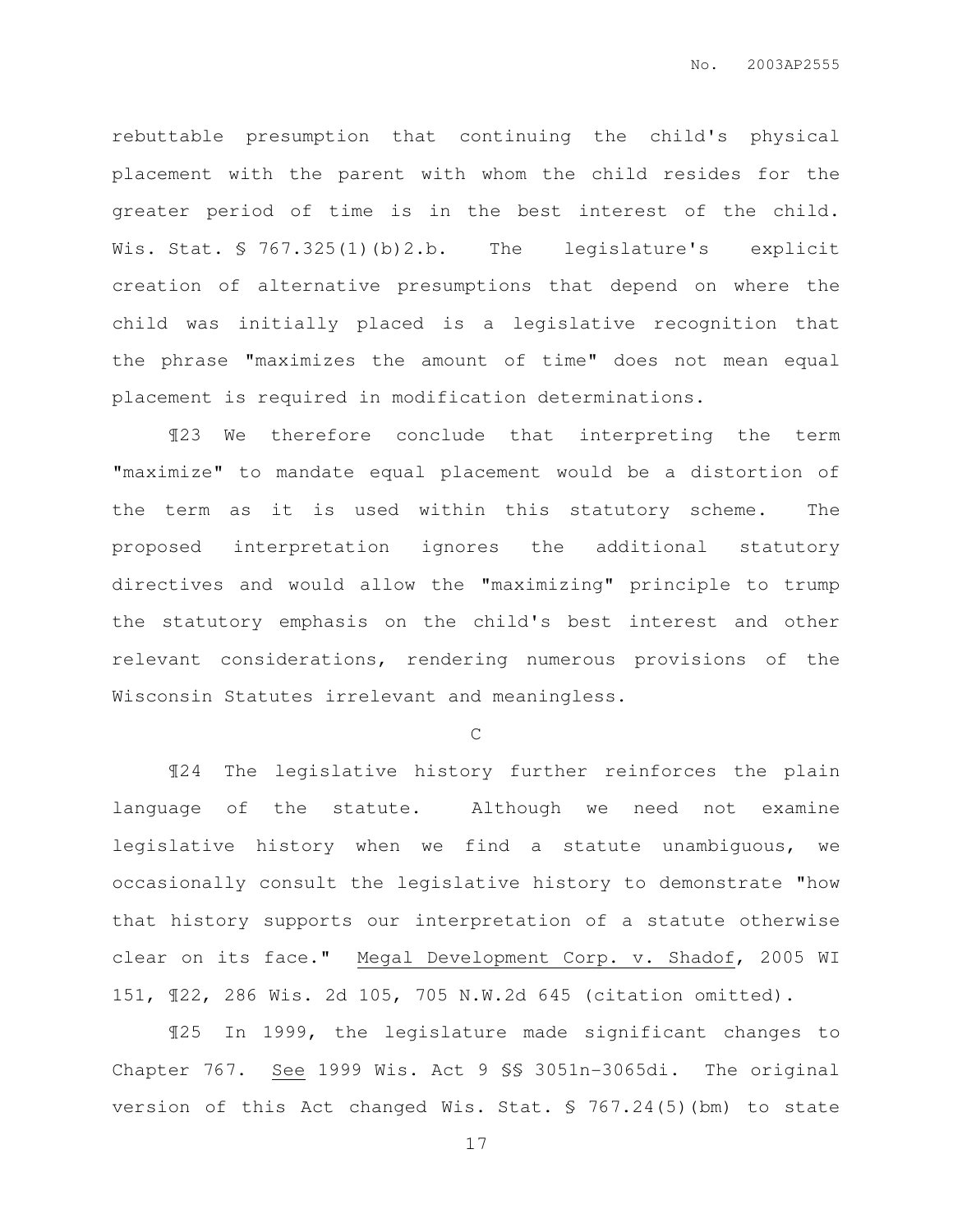rebuttable presumption that continuing the child's physical placement with the parent with whom the child resides for the greater period of time is in the best interest of the child. Wis. Stat. § 767.325(1)(b)2.b. The legislature's explicit creation of alternative presumptions that depend on where the child was initially placed is a legislative recognition that the phrase "maximizes the amount of time" does not mean equal placement is required in modification determinations.

¶23 We therefore conclude that interpreting the term "maximize" to mandate equal placement would be a distortion of the term as it is used within this statutory scheme. The proposed interpretation ignores the additional statutory directives and would allow the "maximizing" principle to trump the statutory emphasis on the child's best interest and other relevant considerations, rendering numerous provisions of the Wisconsin Statutes irrelevant and meaningless.

C

¶24 The legislative history further reinforces the plain language of the statute. Although we need not examine legislative history when we find a statute unambiguous, we occasionally consult the legislative history to demonstrate "how that history supports our interpretation of a statute otherwise clear on its face." Megal Development Corp. v. Shadof, 2005 WI 151, ¶22, 286 Wis. 2d 105, 705 N.W.2d 645 (citation omitted).

¶25 In 1999, the legislature made significant changes to Chapter 767. See 1999 Wis. Act 9 §§ 3051n-3065di. The original version of this Act changed Wis. Stat. § 767.24(5)(bm) to state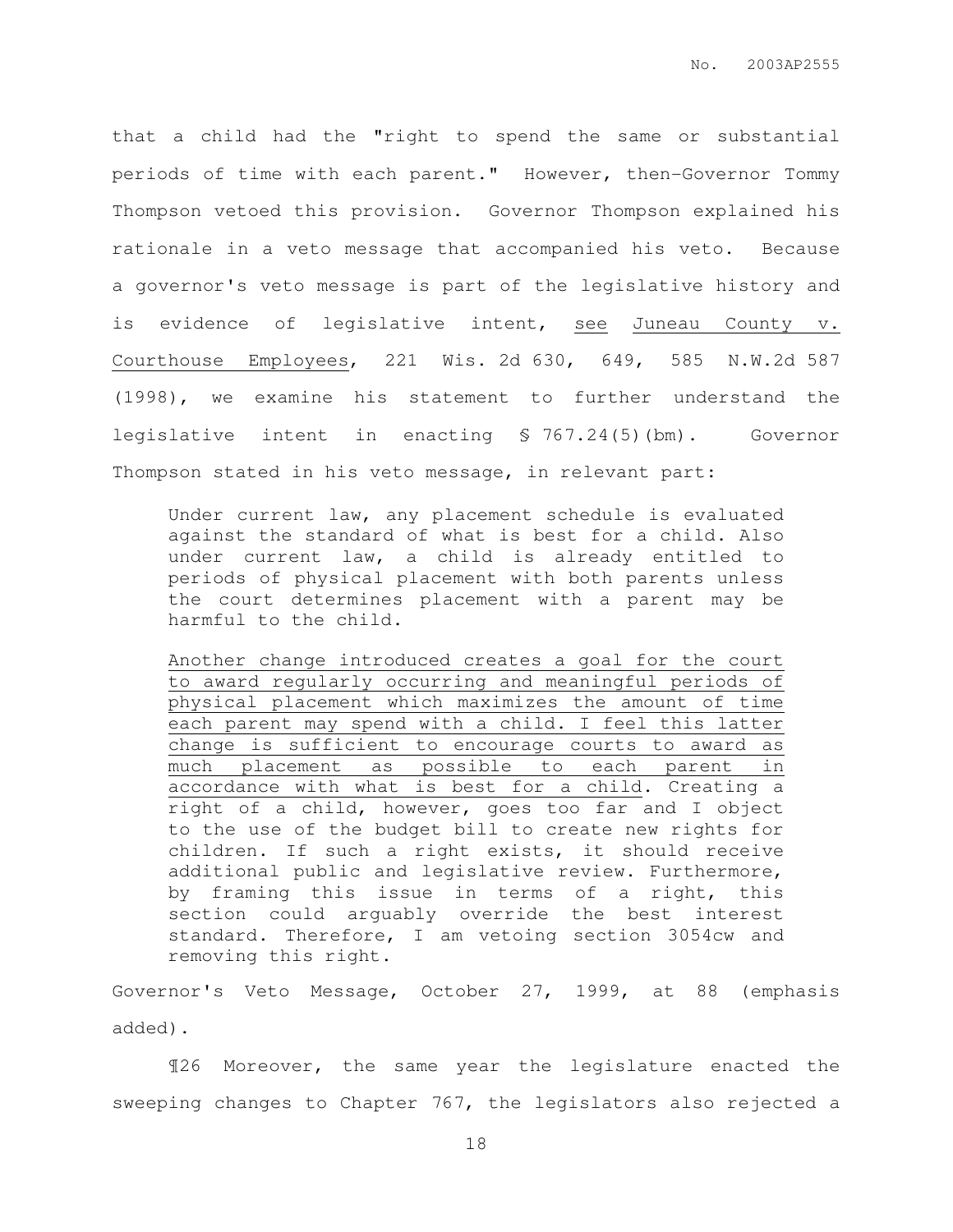that a child had the "right to spend the same or substantial periods of time with each parent." However, then-Governor Tommy Thompson vetoed this provision. Governor Thompson explained his rationale in a veto message that accompanied his veto. Because a governor's veto message is part of the legislative history and is evidence of legislative intent, see Juneau County v. Courthouse Employees, 221 Wis. 2d 630, 649, 585 N.W.2d 587 (1998), we examine his statement to further understand the legislative intent in enacting § 767.24(5)(bm). Governor Thompson stated in his veto message, in relevant part:

Under current law, any placement schedule is evaluated against the standard of what is best for a child. Also under current law, a child is already entitled to periods of physical placement with both parents unless the court determines placement with a parent may be harmful to the child.

Another change introduced creates a goal for the court to award regularly occurring and meaningful periods of physical placement which maximizes the amount of time each parent may spend with a child. I feel this latter change is sufficient to encourage courts to award as much placement as possible to each parent in accordance with what is best for a child. Creating a right of a child, however, goes too far and I object to the use of the budget bill to create new rights for children. If such a right exists, it should receive additional public and legislative review. Furthermore, by framing this issue in terms of a right, this section could arguably override the best interest standard. Therefore, I am vetoing section 3054cw and removing this right.

Governor's Veto Message, October 27, 1999, at 88 (emphasis added).

¶26 Moreover, the same year the legislature enacted the sweeping changes to Chapter 767, the legislators also rejected a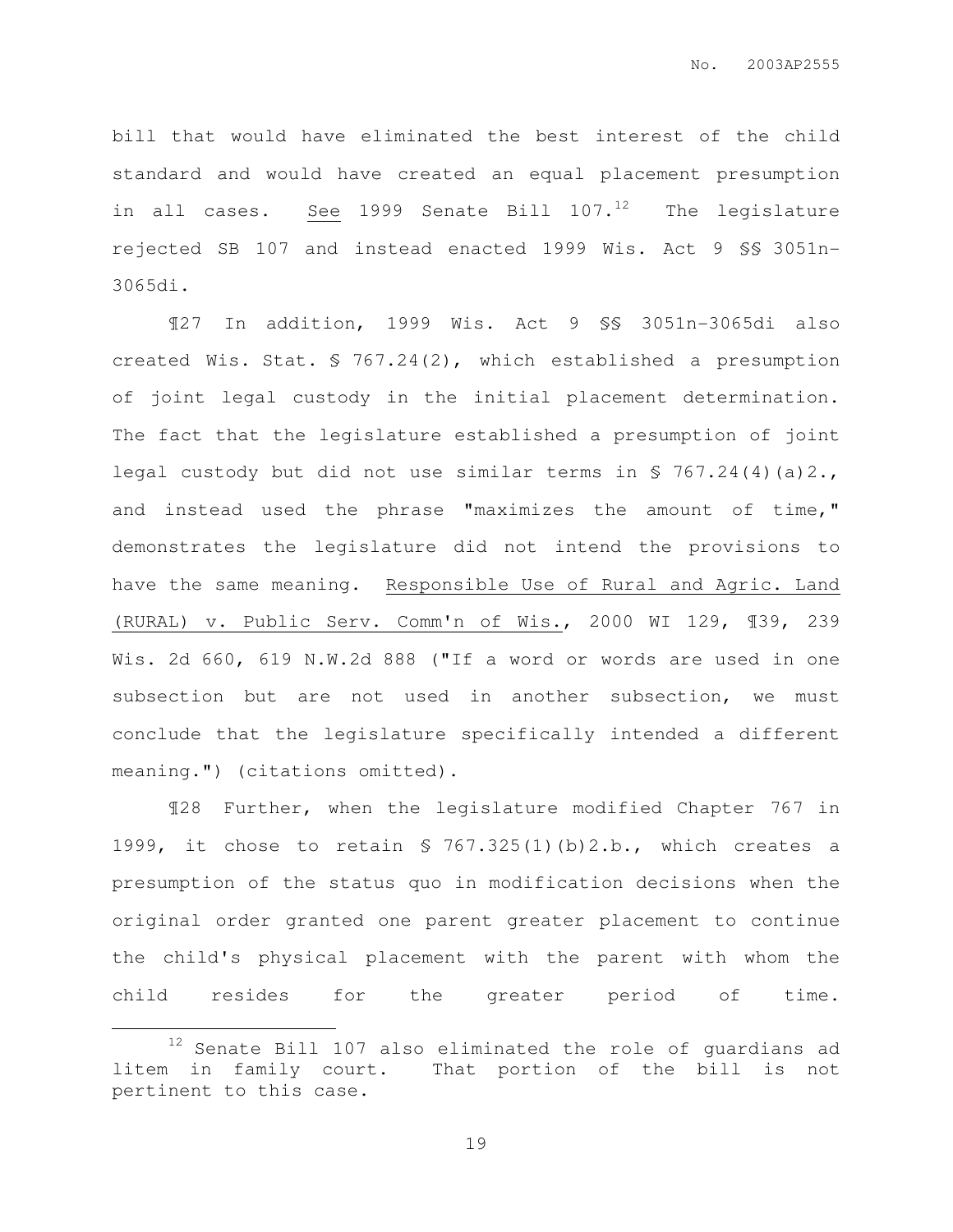bill that would have eliminated the best interest of the child standard and would have created an equal placement presumption in all cases. See 1999 Senate Bill  $107.^{12}$  The legislature rejected SB 107 and instead enacted 1999 Wis. Act 9 §§ 3051n-3065di.

¶27 In addition, 1999 Wis. Act 9 §§ 3051n-3065di also created Wis. Stat. § 767.24(2), which established a presumption of joint legal custody in the initial placement determination. The fact that the legislature established a presumption of joint legal custody but did not use similar terms in § 767.24(4)(a)2., and instead used the phrase "maximizes the amount of time," demonstrates the legislature did not intend the provisions to have the same meaning. Responsible Use of Rural and Agric. Land (RURAL) v. Public Serv. Comm'n of Wis., 2000 WI 129, ¶39, 239 Wis. 2d 660, 619 N.W.2d 888 ("If a word or words are used in one subsection but are not used in another subsection, we must conclude that the legislature specifically intended a different meaning.") (citations omitted).

¶28 Further, when the legislature modified Chapter 767 in 1999, it chose to retain § 767.325(1)(b)2.b., which creates a presumption of the status quo in modification decisions when the original order granted one parent greater placement to continue the child's physical placement with the parent with whom the child resides for the greater period of time.

 $\overline{a}$ 

<sup>&</sup>lt;sup>12</sup> Senate Bill 107 also eliminated the role of guardians ad litem in family court. That portion of the bill is not pertinent to this case.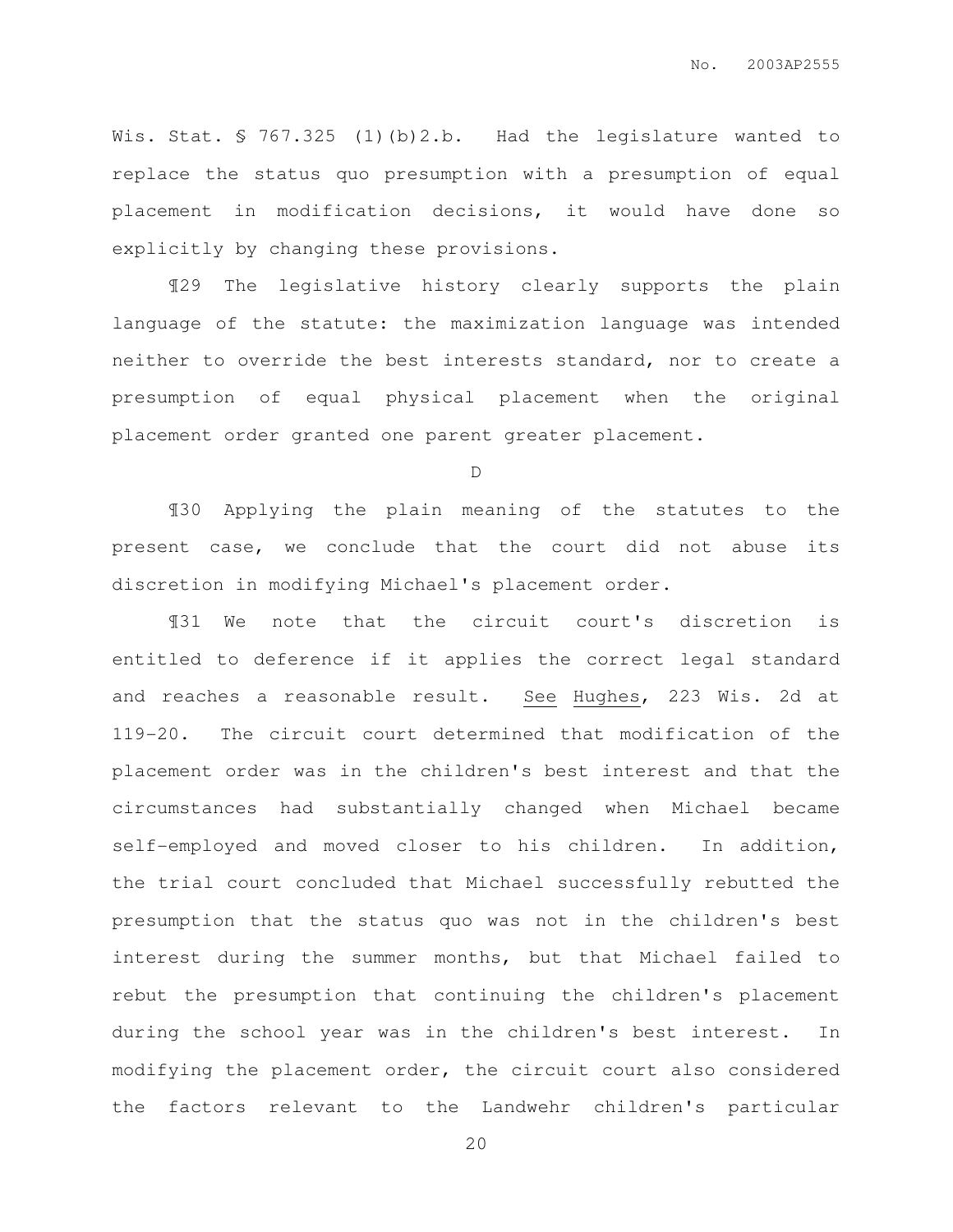Wis. Stat. § 767.325 (1)(b)2.b. Had the legislature wanted to replace the status quo presumption with a presumption of equal placement in modification decisions, it would have done so explicitly by changing these provisions.

¶29 The legislative history clearly supports the plain language of the statute: the maximization language was intended neither to override the best interests standard, nor to create a presumption of equal physical placement when the original placement order granted one parent greater placement.

D

¶30 Applying the plain meaning of the statutes to the present case, we conclude that the court did not abuse its discretion in modifying Michael's placement order.

¶31 We note that the circuit court's discretion is entitled to deference if it applies the correct legal standard and reaches a reasonable result. See Hughes, 223 Wis. 2d at 119-20. The circuit court determined that modification of the placement order was in the children's best interest and that the circumstances had substantially changed when Michael became self-employed and moved closer to his children. In addition, the trial court concluded that Michael successfully rebutted the presumption that the status quo was not in the children's best interest during the summer months, but that Michael failed to rebut the presumption that continuing the children's placement during the school year was in the children's best interest. In modifying the placement order, the circuit court also considered the factors relevant to the Landwehr children's particular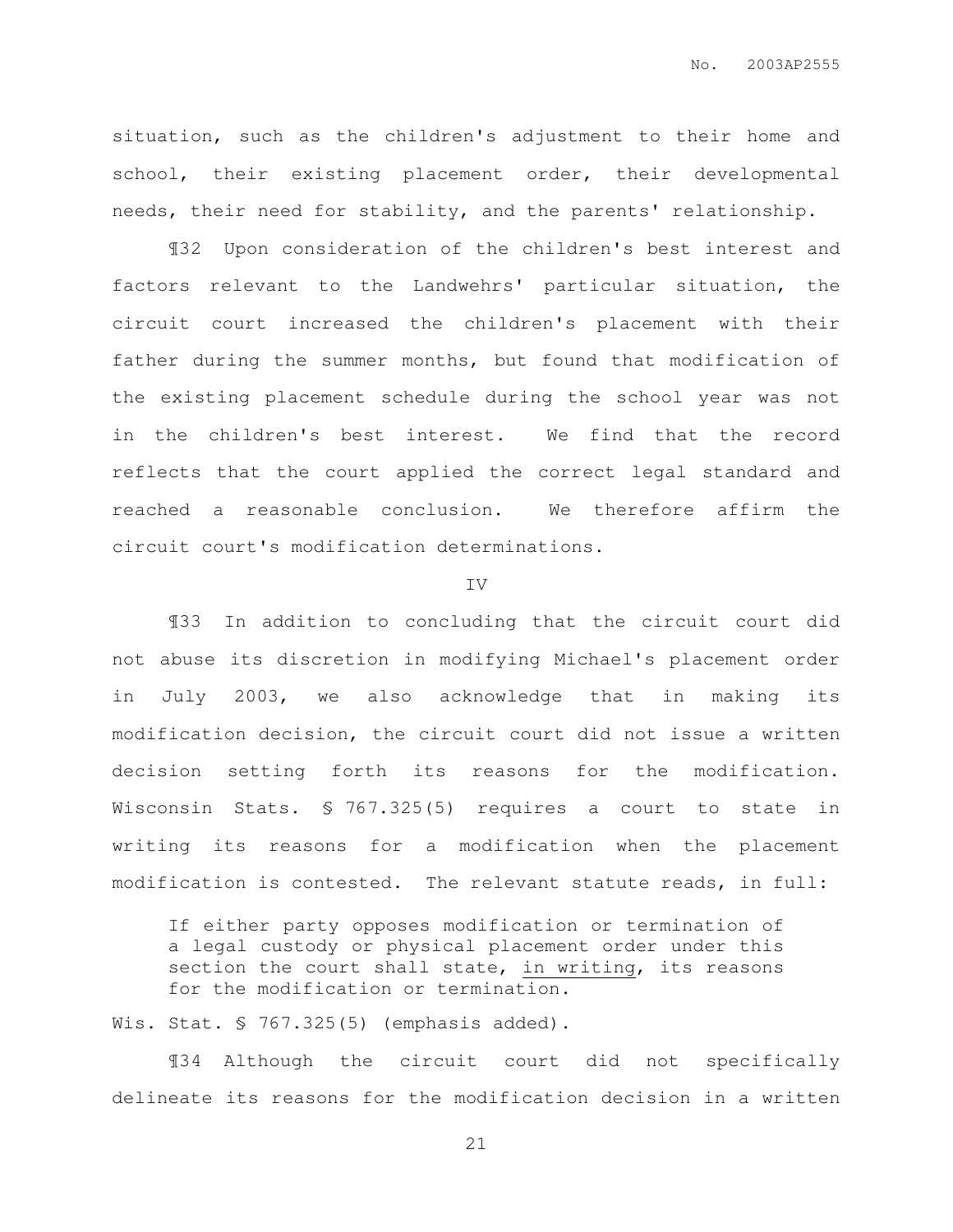situation, such as the children's adjustment to their home and school, their existing placement order, their developmental needs, their need for stability, and the parents' relationship.

¶32 Upon consideration of the children's best interest and factors relevant to the Landwehrs' particular situation, the circuit court increased the children's placement with their father during the summer months, but found that modification of the existing placement schedule during the school year was not in the children's best interest. We find that the record reflects that the court applied the correct legal standard and reached a reasonable conclusion. We therefore affirm the circuit court's modification determinations.

#### IV

¶33 In addition to concluding that the circuit court did not abuse its discretion in modifying Michael's placement order in July 2003, we also acknowledge that in making its modification decision, the circuit court did not issue a written decision setting forth its reasons for the modification. Wisconsin Stats. § 767.325(5) requires a court to state in writing its reasons for a modification when the placement modification is contested. The relevant statute reads, in full:

If either party opposes modification or termination of a legal custody or physical placement order under this section the court shall state, in writing, its reasons for the modification or termination.

Wis. Stat. § 767.325(5) (emphasis added).

¶34 Although the circuit court did not specifically delineate its reasons for the modification decision in a written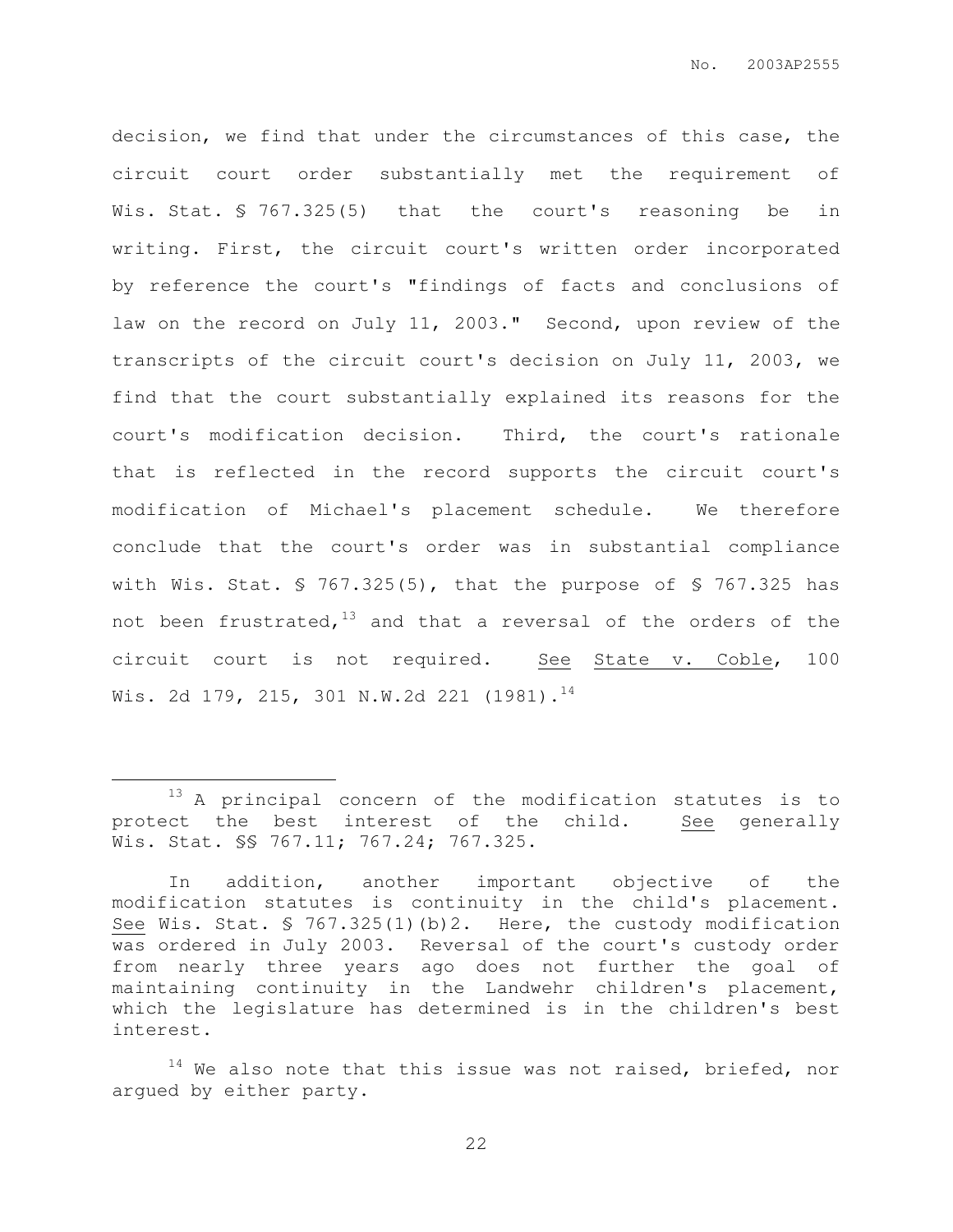decision, we find that under the circumstances of this case, the circuit court order substantially met the requirement of Wis. Stat. § 767.325(5) that the court's reasoning be in writing. First, the circuit court's written order incorporated by reference the court's "findings of facts and conclusions of law on the record on July 11, 2003." Second, upon review of the transcripts of the circuit court's decision on July 11, 2003, we find that the court substantially explained its reasons for the court's modification decision. Third, the court's rationale that is reflected in the record supports the circuit court's modification of Michael's placement schedule. We therefore conclude that the court's order was in substantial compliance with Wis. Stat.  $\sqrt{5}$  767.325(5), that the purpose of  $\sqrt{5}$  767.325 has not been frustrated, $13$  and that a reversal of the orders of the circuit court is not required. See State v. Coble, 100 Wis. 2d 179, 215, 301 N.W.2d 221 (1981).<sup>14</sup>

 $\overline{a}$ 

<sup>&</sup>lt;sup>13</sup> A principal concern of the modification statutes is to protect the best interest of the child. See generally Wis. Stat. \$§ 767.11; 767.24; 767.325.

In addition, another important objective of the modification statutes is continuity in the child's placement. See Wis. Stat. § 767.325(1)(b)2. Here, the custody modification was ordered in July 2003. Reversal of the court's custody order from nearly three years ago does not further the goal of maintaining continuity in the Landwehr children's placement, which the legislature has determined is in the children's best interest.

 $14$  We also note that this issue was not raised, briefed, nor argued by either party.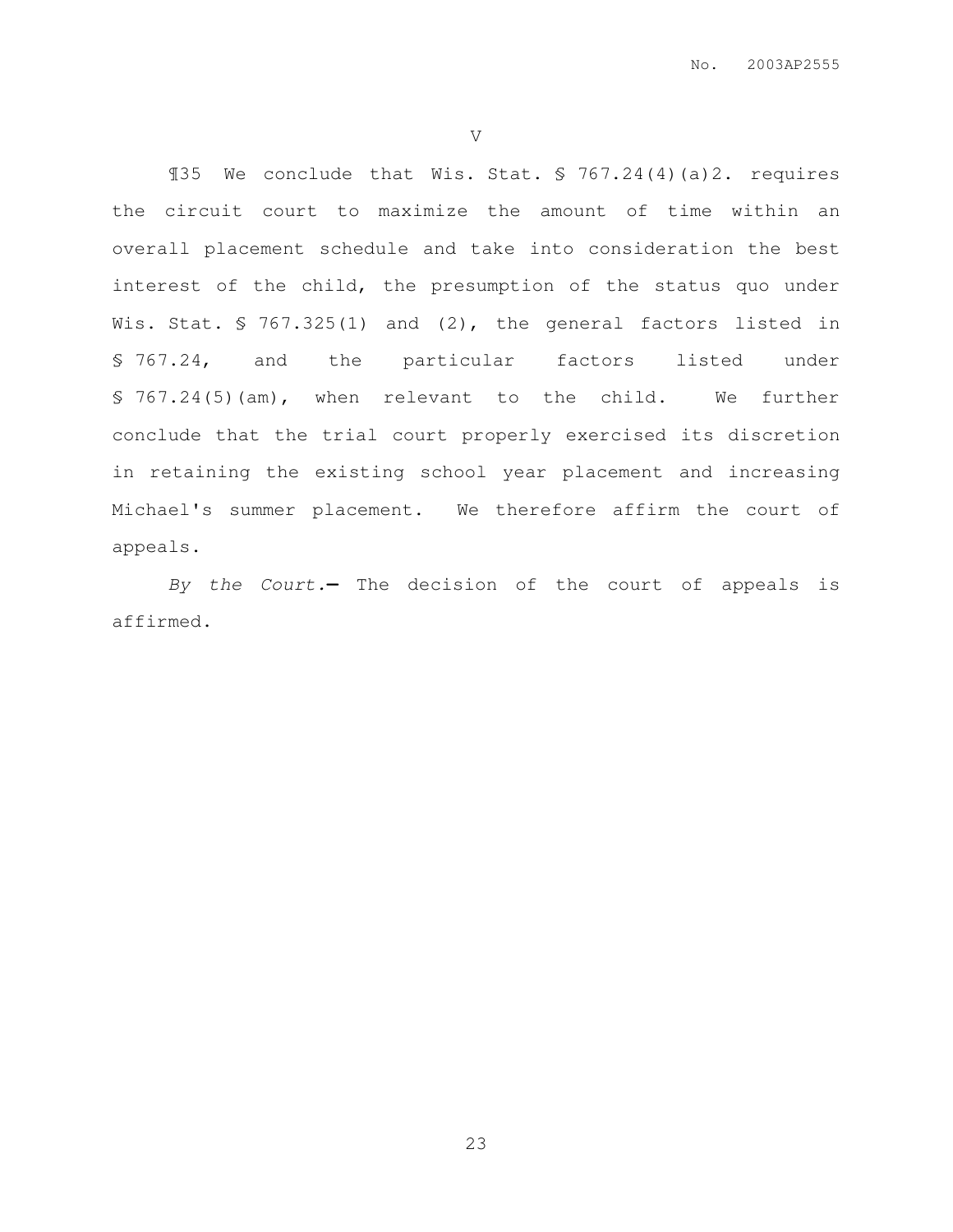V

¶35 We conclude that Wis. Stat. § 767.24(4)(a)2. requires the circuit court to maximize the amount of time within an overall placement schedule and take into consideration the best interest of the child, the presumption of the status quo under Wis. Stat. § 767.325(1) and (2), the general factors listed in § 767.24, and the particular factors listed under § 767.24(5)(am), when relevant to the child. We further conclude that the trial court properly exercised its discretion in retaining the existing school year placement and increasing Michael's summer placement. We therefore affirm the court of appeals.

By the Court.**—** The decision of the court of appeals is affirmed.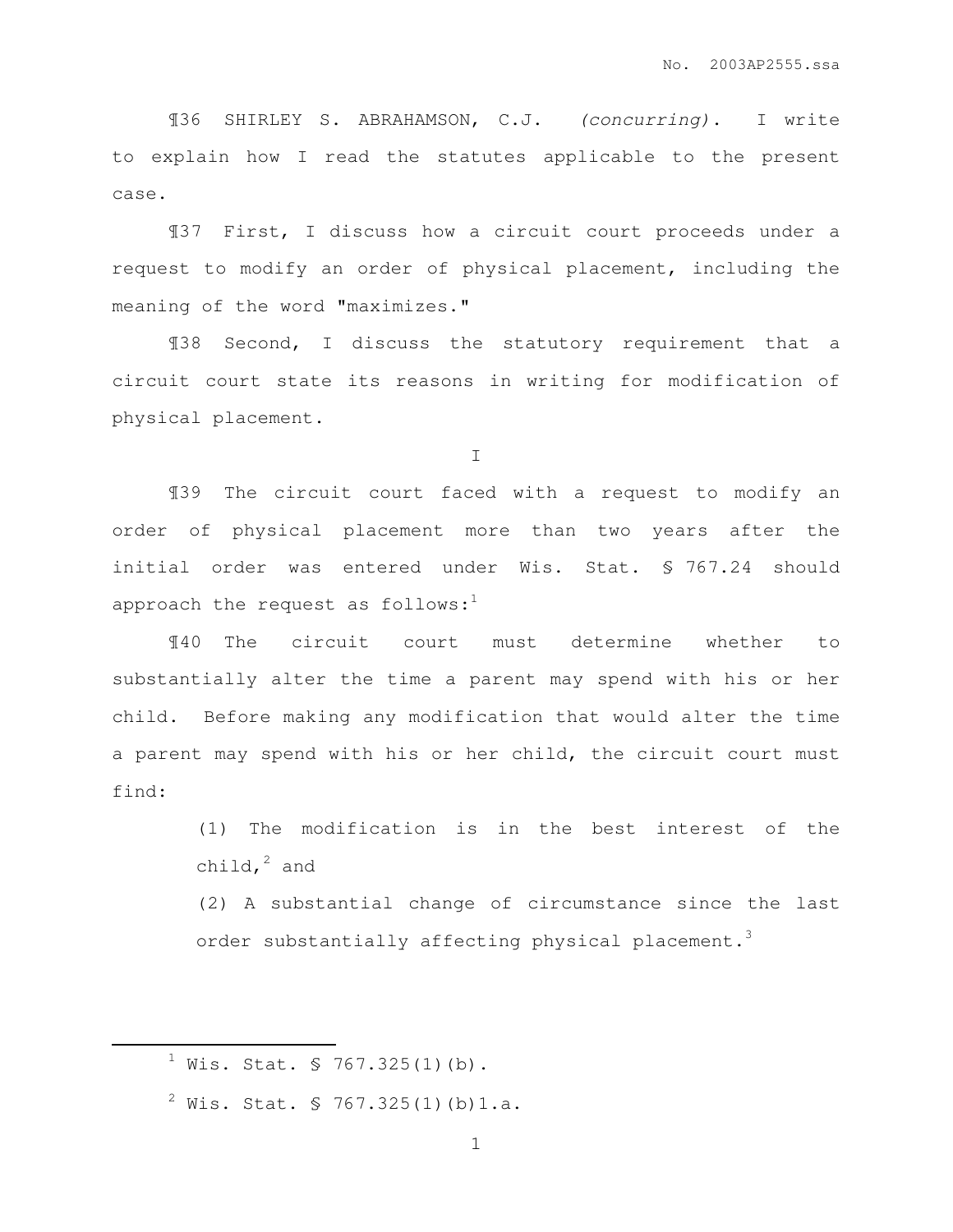¶36 SHIRLEY S. ABRAHAMSON, C.J. (concurring). I write to explain how I read the statutes applicable to the present case.

¶37 First, I discuss how a circuit court proceeds under a request to modify an order of physical placement, including the meaning of the word "maximizes."

¶38 Second, I discuss the statutory requirement that a circuit court state its reasons in writing for modification of physical placement.

I

¶39 The circuit court faced with a request to modify an order of physical placement more than two years after the initial order was entered under Wis. Stat. § 767.24 should approach the request as follows: $1$ 

¶40 The circuit court must determine whether to substantially alter the time a parent may spend with his or her child. Before making any modification that would alter the time a parent may spend with his or her child, the circuit court must find:

> (1) The modification is in the best interest of the child, $^2$  and

> (2) A substantial change of circumstance since the last order substantially affecting physical placement.<sup>3</sup>

 $\overline{a}$ 

 $<sup>1</sup>$  Wis. Stat. § 767.325(1)(b).</sup>

 $^{2}$  Wis. Stat. § 767.325(1)(b)1.a.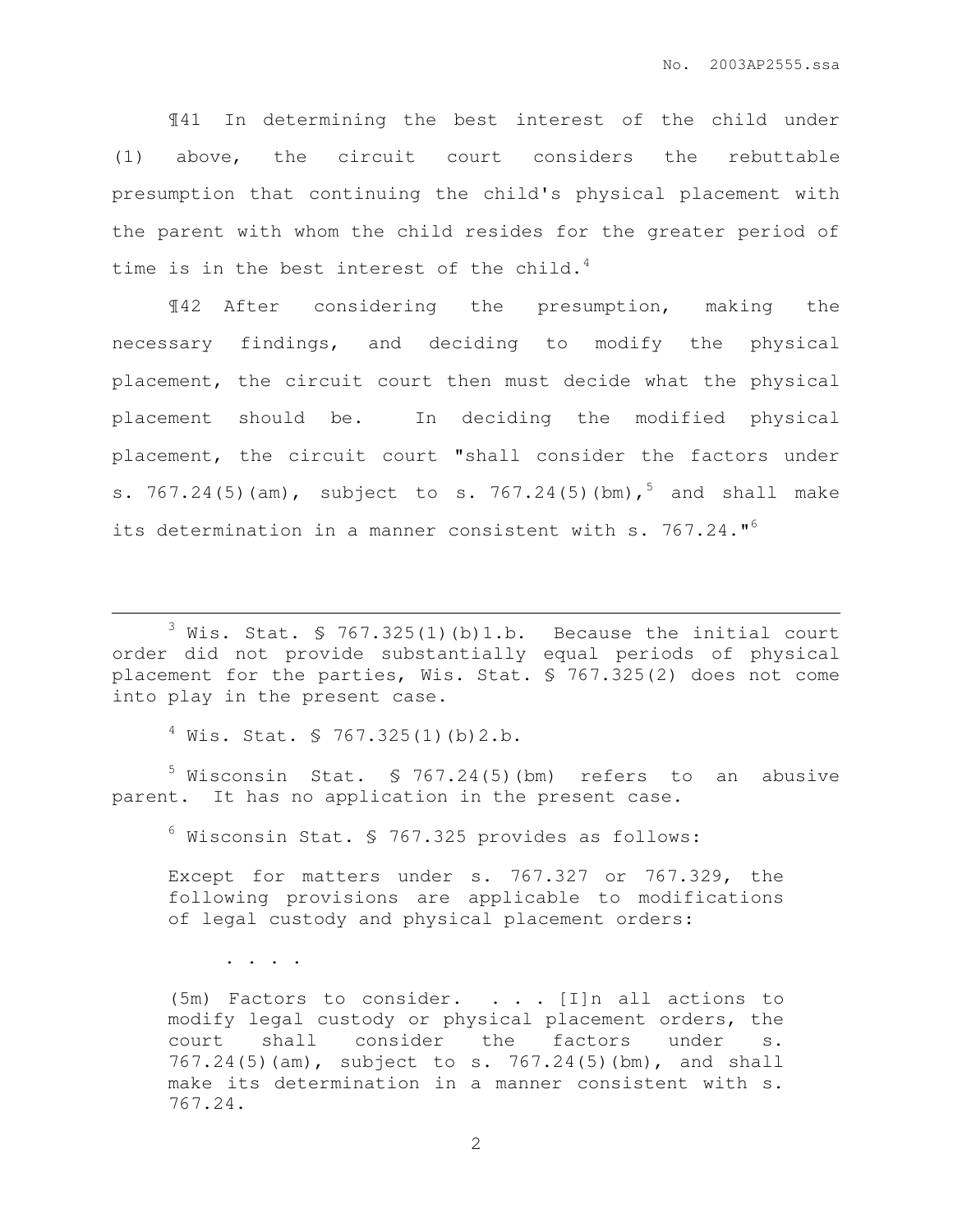¶41 In determining the best interest of the child under (1) above, the circuit court considers the rebuttable presumption that continuing the child's physical placement with the parent with whom the child resides for the greater period of time is in the best interest of the child.<sup>4</sup>

¶42 After considering the presumption, making the necessary findings, and deciding to modify the physical placement, the circuit court then must decide what the physical placement should be. In deciding the modified physical placement, the circuit court "shall consider the factors under s.  $767.24(5)$  (am), subject to s.  $767.24(5)$  (bm),  $5$  and shall make its determination in a manner consistent with s. 767.24."<sup>6</sup>

 $3$  Wis. Stat. § 767.325(1)(b)1.b. Because the initial court order did not provide substantially equal periods of physical placement for the parties, Wis. Stat. § 767.325(2) does not come into play in the present case.

 $4$  Wis. Stat. § 767.325(1)(b)2.b.

 $5$  Wisconsin Stat. § 767.24(5)(bm) refers to an abusive parent. It has no application in the present case.

 $6$  Wisconsin Stat. § 767.325 provides as follows:

Except for matters under s. 767.327 or 767.329, the following provisions are applicable to modifications of legal custody and physical placement orders:

. . . .

 $\overline{a}$ 

(5m) Factors to consider.  $\ldots$  [I]n all actions to modify legal custody or physical placement orders, the court shall consider the factors under s. 767.24(5)(am), subject to s. 767.24(5)(bm), and shall make its determination in a manner consistent with s. 767.24.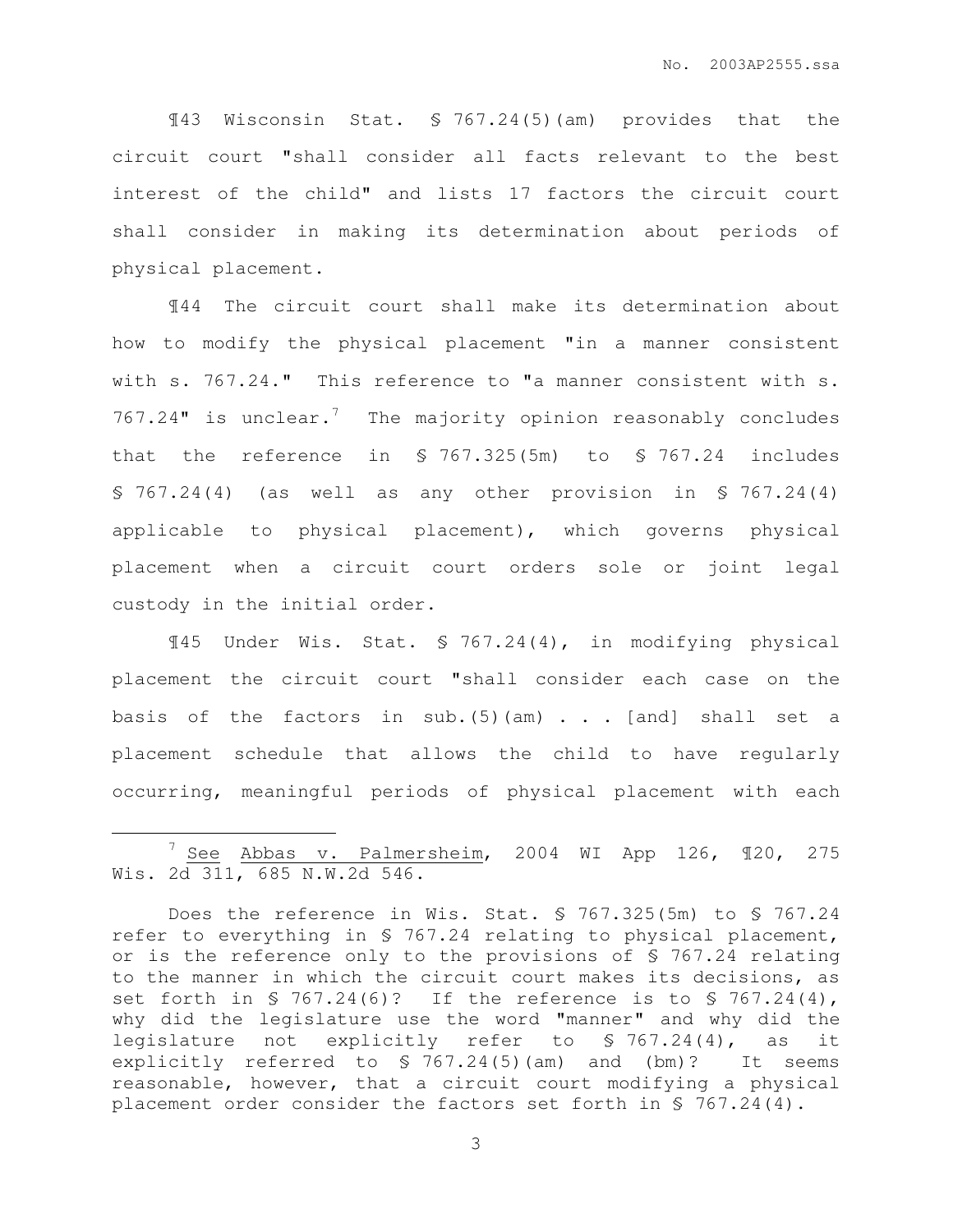¶43 Wisconsin Stat. § 767.24(5)(am) provides that the circuit court "shall consider all facts relevant to the best interest of the child" and lists 17 factors the circuit court shall consider in making its determination about periods of physical placement.

¶44 The circuit court shall make its determination about how to modify the physical placement "in a manner consistent with s. 767.24." This reference to "a manner consistent with s. 767.24" is unclear.<sup>7</sup> The majority opinion reasonably concludes that the reference in § 767.325(5m) to § 767.24 includes § 767.24(4) (as well as any other provision in § 767.24(4) applicable to physical placement), which governs physical placement when a circuit court orders sole or joint legal custody in the initial order.

¶45 Under Wis. Stat. § 767.24(4), in modifying physical placement the circuit court "shall consider each case on the basis of the factors in sub.  $(5)$  (am) . . . [and] shall set a placement schedule that allows the child to have regularly occurring, meaningful periods of physical placement with each

 $\overline{a}$ 

 $7$  See Abbas v. Palmersheim, 2004 WI App 126,  $\P$ 20, 275 Wis. 2d 311, 685 N.W.2d 546.

Does the reference in Wis. Stat. § 767.325(5m) to § 767.24 refer to everything in § 767.24 relating to physical placement, or is the reference only to the provisions of § 767.24 relating to the manner in which the circuit court makes its decisions, as set forth in  $$767.24(6)?$  If the reference is to  $$767.24(4)$ , why did the legislature use the word "manner" and why did the legislature not explicitly refer to § 767.24(4), as it explicitly referred to § 767.24(5)(am) and (bm)? It seems reasonable, however, that a circuit court modifying a physical placement order consider the factors set forth in § 767.24(4).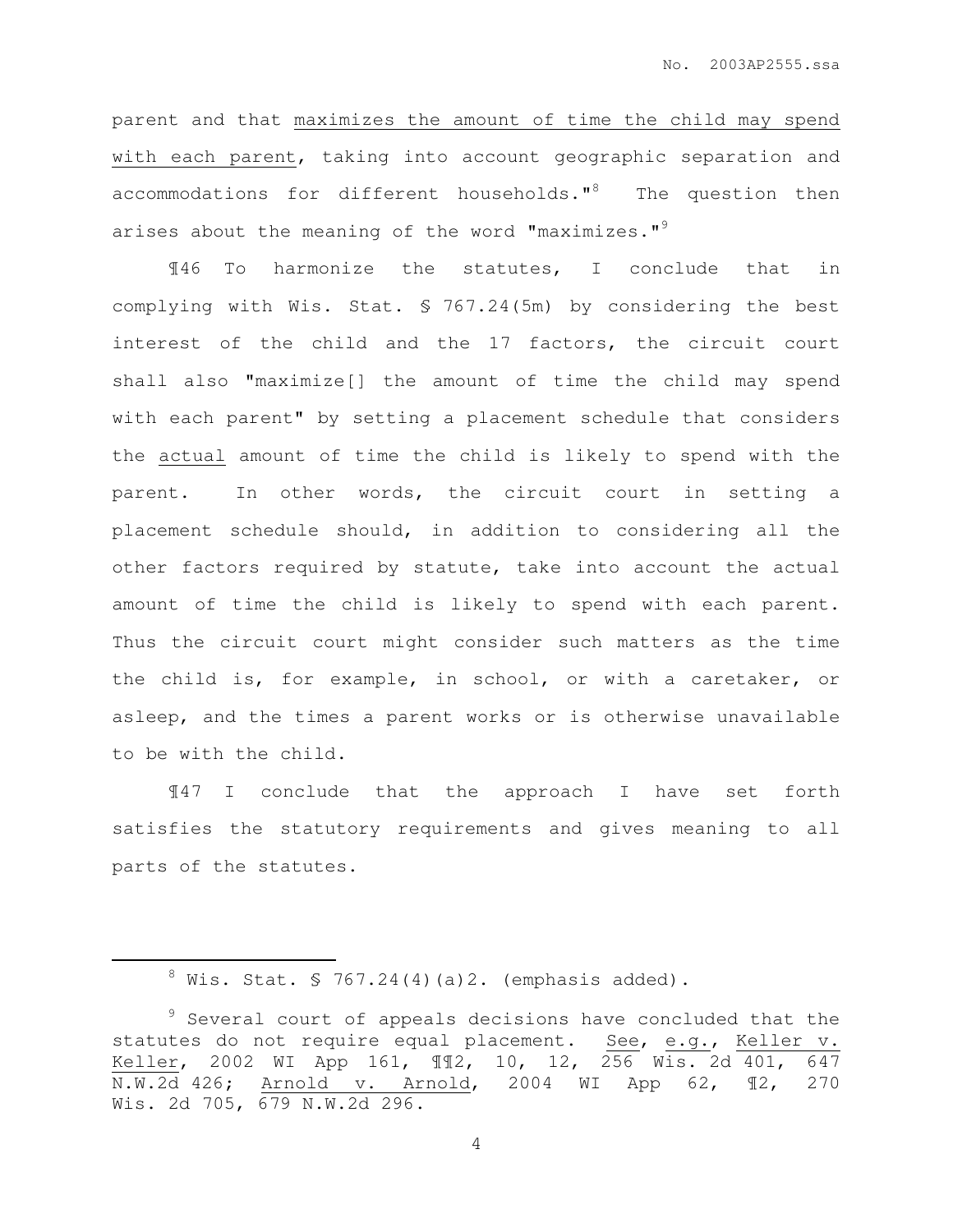parent and that maximizes the amount of time the child may spend with each parent, taking into account geographic separation and accommodations for different households."<sup>8</sup> The question then arises about the meaning of the word "maximizes." $9$ 

¶46 To harmonize the statutes, I conclude that in complying with Wis. Stat. § 767.24(5m) by considering the best interest of the child and the 17 factors, the circuit court shall also "maximize[] the amount of time the child may spend with each parent" by setting a placement schedule that considers the actual amount of time the child is likely to spend with the parent. In other words, the circuit court in setting a placement schedule should, in addition to considering all the other factors required by statute, take into account the actual amount of time the child is likely to spend with each parent. Thus the circuit court might consider such matters as the time the child is, for example, in school, or with a caretaker, or asleep, and the times a parent works or is otherwise unavailable to be with the child.

¶47 I conclude that the approach I have set forth satisfies the statutory requirements and gives meaning to all parts of the statutes.

 $\overline{a}$ 

 $8$  Wis. Stat. § 767.24(4)(a)2. (emphasis added).

<sup>&</sup>lt;sup>9</sup> Several court of appeals decisions have concluded that the statutes do not require equal placement. See, e.g., Keller v. Keller, 2002 WI App 161, ¶¶2, 10, 12, 256 Wis. 2d 401, 647 N.W.2d 426; Arnold v. Arnold, 2004 WI App 62, ¶2, 270 Wis. 2d 705, 679 N.W.2d 296.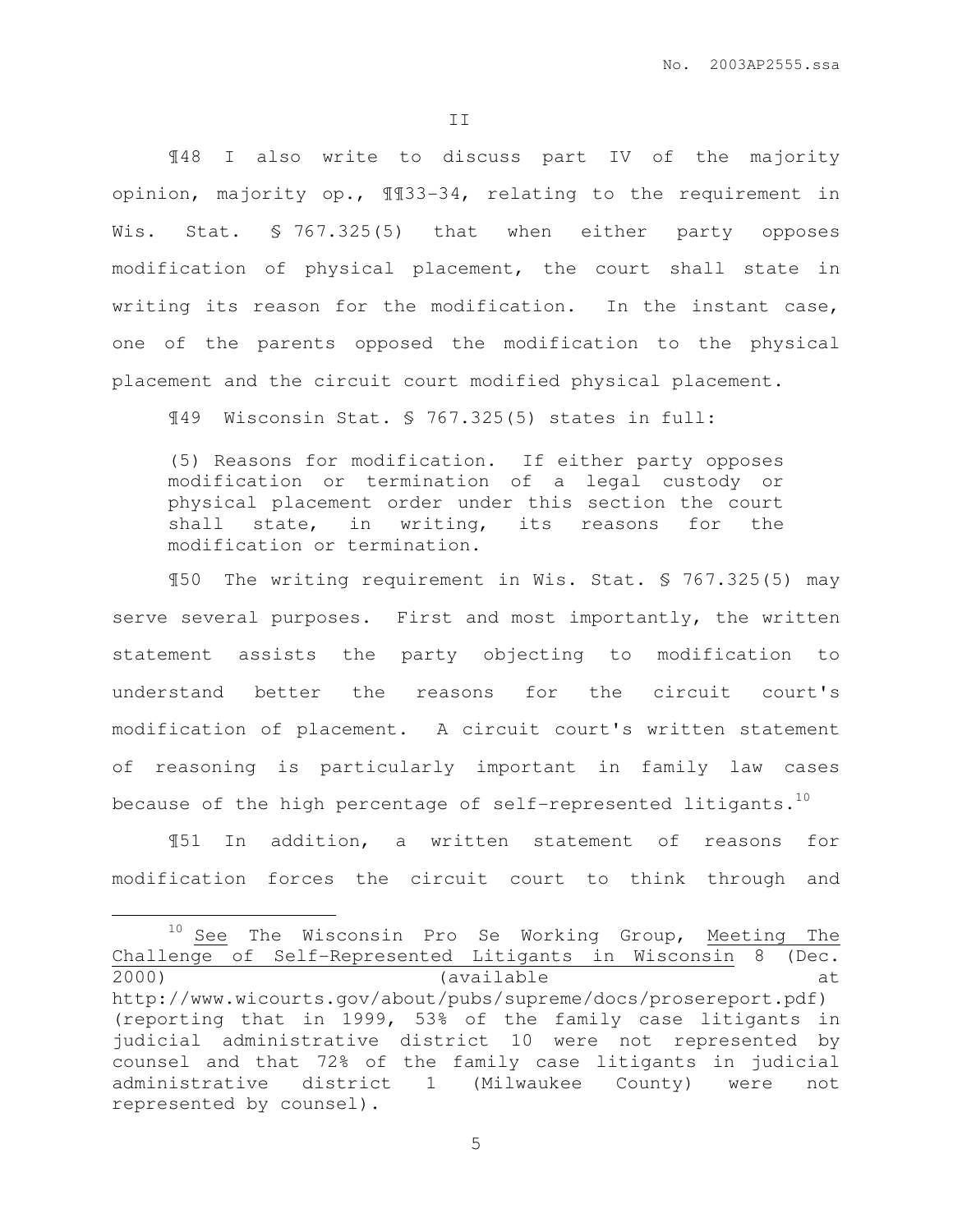II

¶48 I also write to discuss part IV of the majority opinion, majority op., ¶¶33-34, relating to the requirement in Wis. Stat. § 767.325(5) that when either party opposes modification of physical placement, the court shall state in writing its reason for the modification. In the instant case, one of the parents opposed the modification to the physical placement and the circuit court modified physical placement.

¶49 Wisconsin Stat. § 767.325(5) states in full:

(5) Reasons for modification. If either party opposes modification or termination of a legal custody or physical placement order under this section the court shall state, in writing, its reasons for the modification or termination.

¶50 The writing requirement in Wis. Stat. § 767.325(5) may serve several purposes. First and most importantly, the written statement assists the party objecting to modification to understand better the reasons for the circuit court's modification of placement. A circuit court's written statement of reasoning is particularly important in family law cases because of the high percentage of self-represented litigants. $^{10}$ 

¶51 In addition, a written statement of reasons for modification forces the circuit court to think through and

 $\overline{a}$ 

<sup>&</sup>lt;sup>10</sup> See The Wisconsin Pro Se Working Group, Meeting The Challenge of Self-Represented Litigants in Wisconsin 8 (Dec. 2000) (available at http://www.wicourts.gov/about/pubs/supreme/docs/prosereport.pdf) (reporting that in 1999, 53% of the family case litigants in judicial administrative district 10 were not represented by counsel and that 72% of the family case litigants in judicial administrative district 1 (Milwaukee County) were not represented by counsel).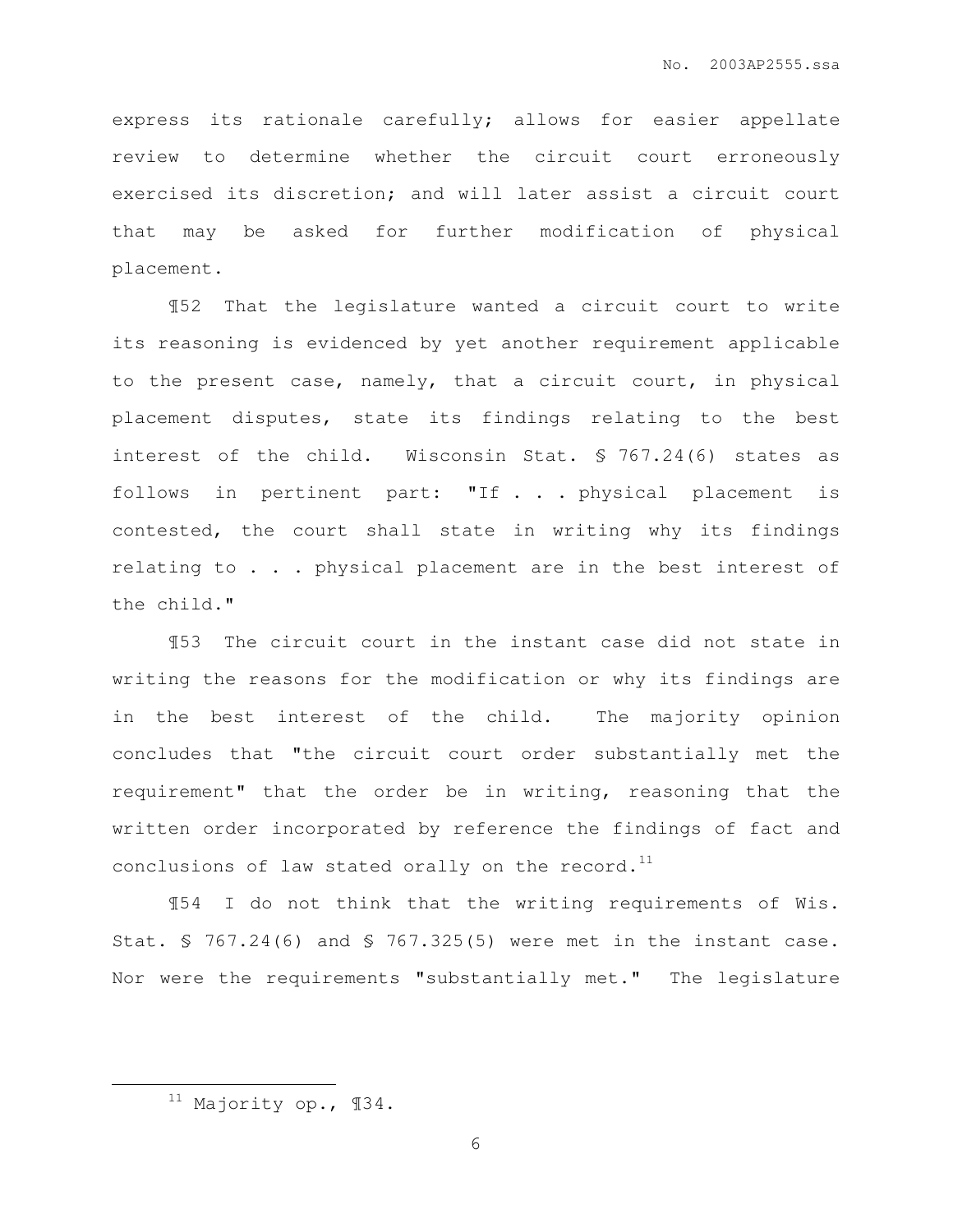express its rationale carefully; allows for easier appellate review to determine whether the circuit court erroneously exercised its discretion; and will later assist a circuit court that may be asked for further modification of physical placement.

¶52 That the legislature wanted a circuit court to write its reasoning is evidenced by yet another requirement applicable to the present case, namely, that a circuit court, in physical placement disputes, state its findings relating to the best interest of the child. Wisconsin Stat. § 767.24(6) states as follows in pertinent part: "If . . . physical placement is contested, the court shall state in writing why its findings relating to . . . physical placement are in the best interest of the child."

¶53 The circuit court in the instant case did not state in writing the reasons for the modification or why its findings are in the best interest of the child. The majority opinion concludes that "the circuit court order substantially met the requirement" that the order be in writing, reasoning that the written order incorporated by reference the findings of fact and conclusions of law stated orally on the record. $^{11}$ 

¶54 I do not think that the writing requirements of Wis. Stat. § 767.24(6) and § 767.325(5) were met in the instant case. Nor were the requirements "substantially met." The legislature

 $\overline{a}$ 

<sup>11</sup> Majority op., ¶34.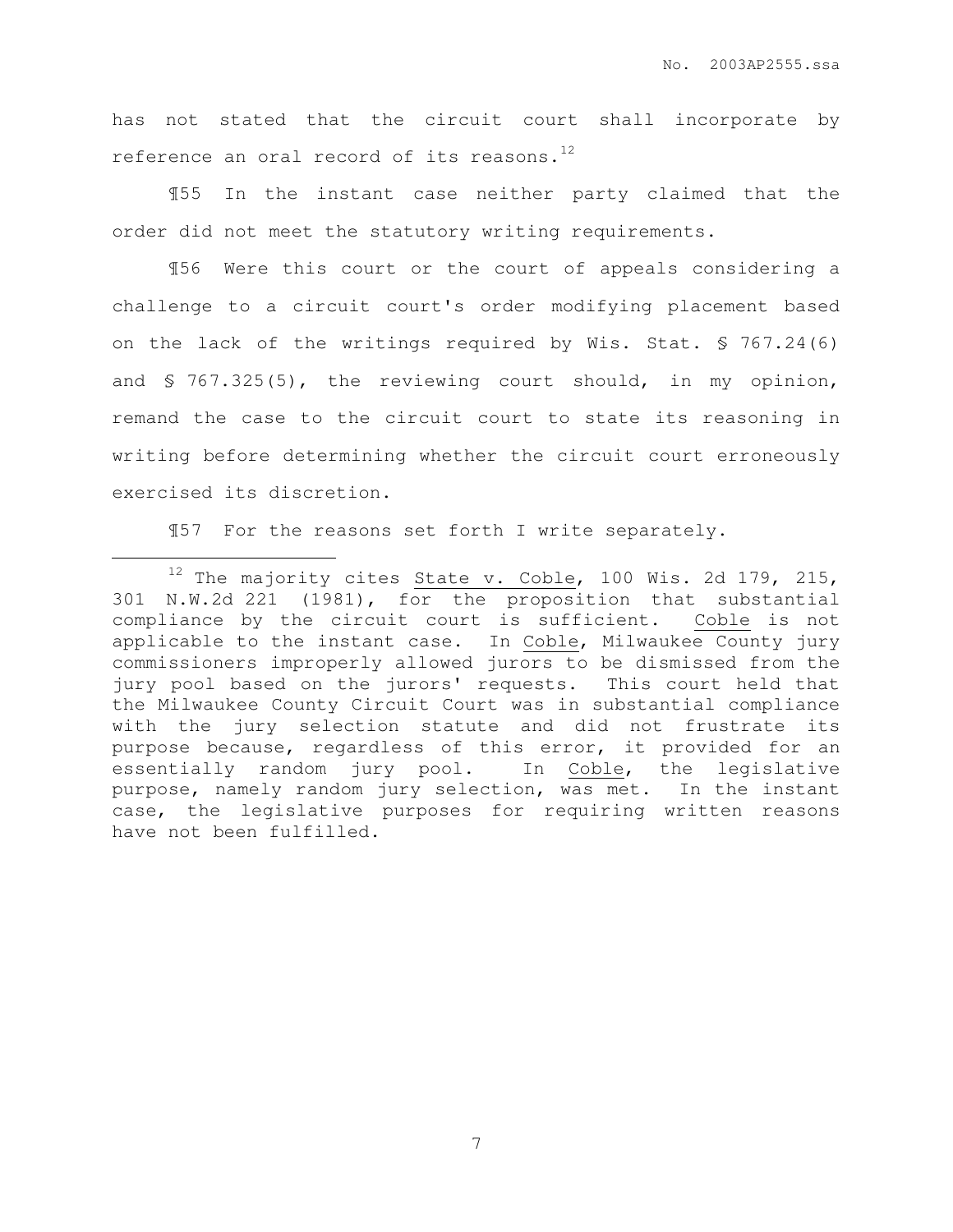has not stated that the circuit court shall incorporate by reference an oral record of its reasons.<sup>12</sup>

¶55 In the instant case neither party claimed that the order did not meet the statutory writing requirements.

¶56 Were this court or the court of appeals considering a challenge to a circuit court's order modifying placement based on the lack of the writings required by Wis. Stat. § 767.24(6) and § 767.325(5), the reviewing court should, in my opinion, remand the case to the circuit court to state its reasoning in writing before determining whether the circuit court erroneously exercised its discretion.

¶57 For the reasons set forth I write separately.

 $\overline{a}$ 

 $12$  The majority cites State v. Coble, 100 Wis. 2d 179, 215, 301 N.W.2d 221 (1981), for the proposition that substantial compliance by the circuit court is sufficient. Coble is not applicable to the instant case. In Coble, Milwaukee County jury commissioners improperly allowed jurors to be dismissed from the jury pool based on the jurors' requests. This court held that the Milwaukee County Circuit Court was in substantial compliance with the jury selection statute and did not frustrate its purpose because, regardless of this error, it provided for an essentially random jury pool. In Coble, the legislative purpose, namely random jury selection, was met. In the instant case, the legislative purposes for requiring written reasons have not been fulfilled.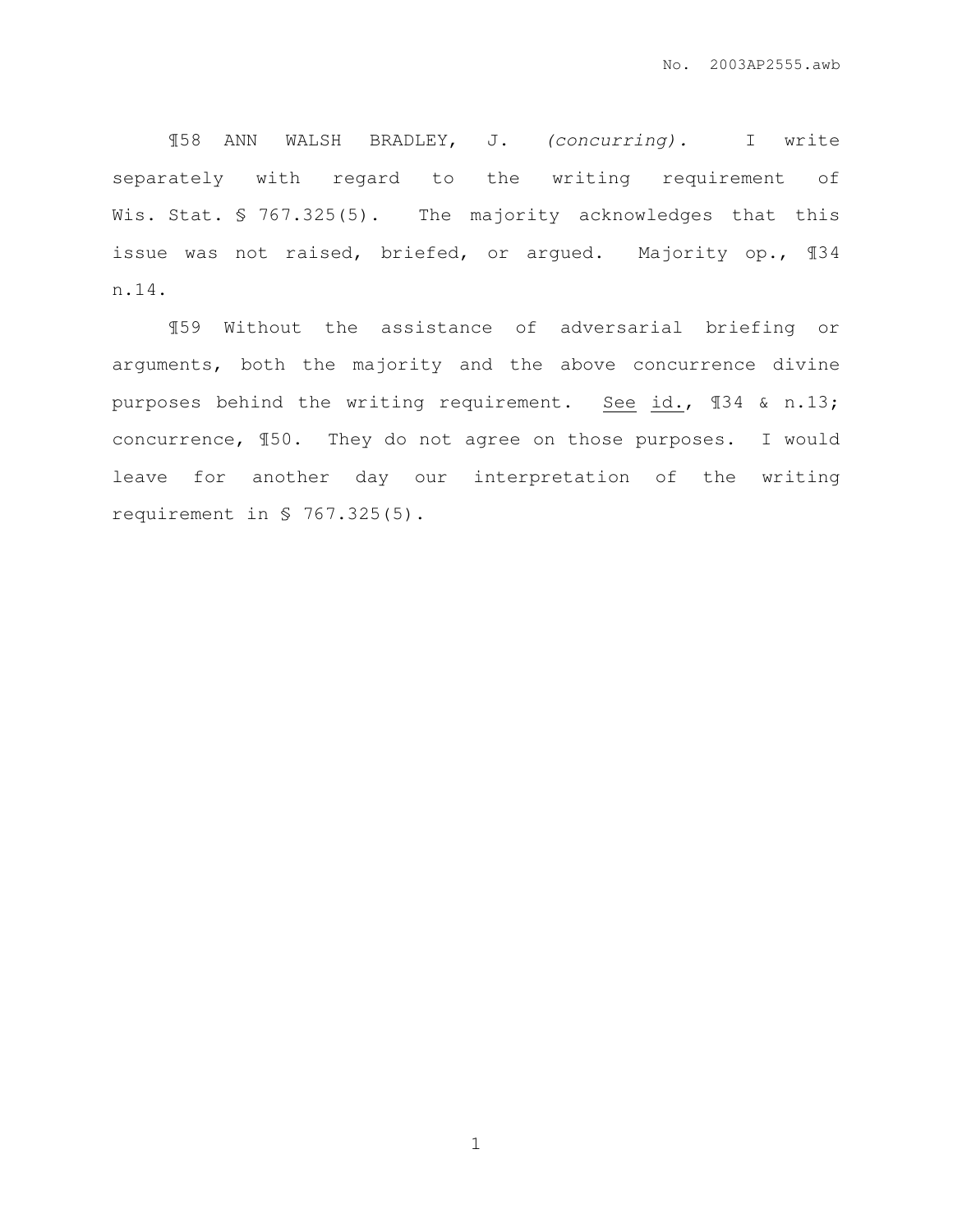¶58 ANN WALSH BRADLEY, J. (concurring). I write separately with regard to the writing requirement of Wis. Stat. § 767.325(5). The majority acknowledges that this issue was not raised, briefed, or argued. Majority op., ¶34 n.14.

¶59 Without the assistance of adversarial briefing or arguments, both the majority and the above concurrence divine purposes behind the writing requirement. See id., ¶34 & n.13; concurrence, ¶50. They do not agree on those purposes. I would leave for another day our interpretation of the writing requirement in § 767.325(5).